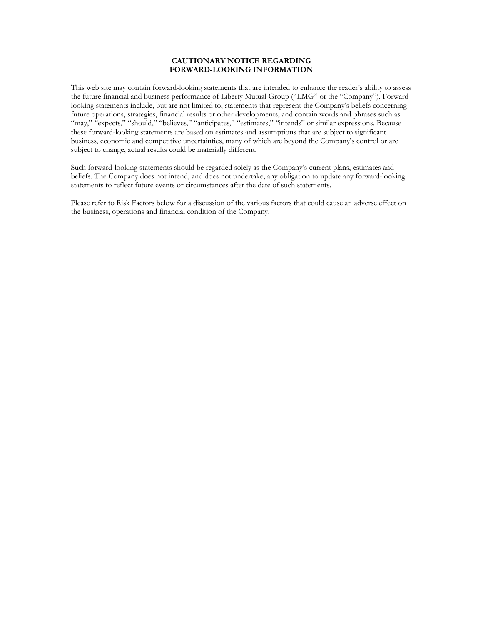# **CAUTIONARY NOTICE REGARDING FORWARD-LOOKING INFORMATION**

This web site may contain forward-looking statements that are intended to enhance the reader's ability to assess the future financial and business performance of Liberty Mutual Group ("LMG" or the "Company"). Forwardlooking statements include, but are not limited to, statements that represent the Company's beliefs concerning future operations, strategies, financial results or other developments, and contain words and phrases such as "may," "expects," "should," "believes," "anticipates," "estimates," "intends" or similar expressions. Because these forward-looking statements are based on estimates and assumptions that are subject to significant business, economic and competitive uncertainties, many of which are beyond the Company's control or are subject to change, actual results could be materially different.

Such forward-looking statements should be regarded solely as the Company's current plans, estimates and beliefs. The Company does not intend, and does not undertake, any obligation to update any forward-looking statements to reflect future events or circumstances after the date of such statements.

Please refer to Risk Factors below for a discussion of the various factors that could cause an adverse effect on the business, operations and financial condition of the Company.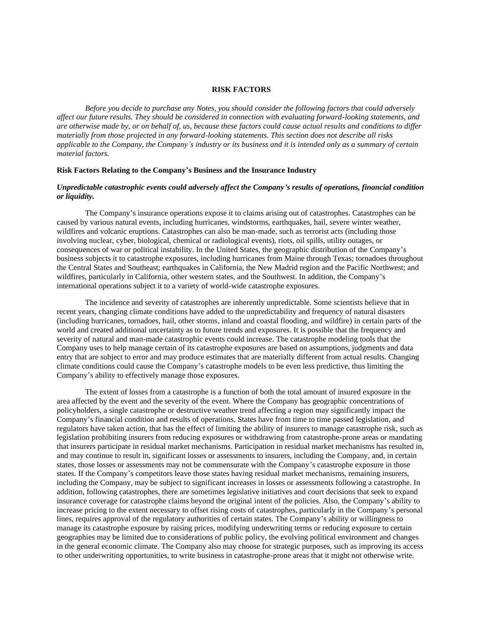#### **RISK FACTORS**

*Before you decide to purchase any Notes, you should consider the following factors that could adversely affect our future results. They should be considered in connection with evaluating forward-looking statements, and are otherwise made by, or on behalf of, us, because these factors could cause actual results and conditions to differ materially from those projected in any forward-looking statements. This section does not describe all risks applicable to the Company, the Company's industry or its business and it is intended only as a summary of certain material factors.* 

#### **Risk Factors Relating to the Company's Business and the Insurance Industry**

# *Unpredictable catastrophic events could adversely affect the Company's results of operations, financial condition or liquidity.*

The Company's insurance operations expose it to claims arising out of catastrophes. Catastrophes can be caused by various natural events, including hurricanes, windstorms, earthquakes, hail, severe winter weather, wildfires and volcanic eruptions. Catastrophes can also be man-made, such as terrorist acts (including those involving nuclear, cyber, biological, chemical or radiological events), riots, oil spills, utility outages, or consequences of war or political instability. In the United States, the geographic distribution of the Company's business subjects it to catastrophe exposures, including hurricanes from Maine through Texas; tornadoes throughout the Central States and Southeast; earthquakes in California, the New Madrid region and the Pacific Northwest; and wildfires, particularly in California, other western states, and the Southwest. In addition, the Company's international operations subject it to a variety of world-wide catastrophe exposures.

The incidence and severity of catastrophes are inherently unpredictable. Some scientists believe that in recent years, changing climate conditions have added to the unpredictability and frequency of natural disasters (including hurricanes, tornadoes, hail, other storms, inland and coastal flooding, and wildfire) in certain parts of the world and created additional uncertainty as to future trends and exposures. It is possible that the frequency and severity of natural and man-made catastrophic events could increase. The catastrophe modeling tools that the Company uses to help manage certain of its catastrophe exposures are based on assumptions, judgments and data entry that are subject to error and may produce estimates that are materially different from actual results. Changing climate conditions could cause the Company's catastrophe models to be even less predictive, thus limiting the Company's ability to effectively manage those exposures.

The extent of losses from a catastrophe is a function of both the total amount of insured exposure in the area affected by the event and the severity of the event. Where the Company has geographic concentrations of policyholders, a single catastrophe or destructive weather trend affecting a region may significantly impact the Company's financial condition and results of operations. States have from time to time passed legislation, and regulators have taken action, that has the effect of limiting the ability of insurers to manage catastrophe risk, such as legislation prohibiting insurers from reducing exposures or withdrawing from catastrophe-prone areas or mandating that insurers participate in residual market mechanisms. Participation in residual market mechanisms has resulted in, and may continue to result in, significant losses or assessments to insurers, including the Company, and, in certain states, those losses or assessments may not be commensurate with the Company's catastrophe exposure in those states. If the Company's competitors leave those states having residual market mechanisms, remaining insurers, including the Company, may be subject to significant increases in losses or assessments following a catastrophe. In addition, following catastrophes, there are sometimes legislative initiatives and court decisions that seek to expand insurance coverage for catastrophe claims beyond the original intent of the policies. Also, the Company's ability to increase pricing to the extent necessary to offset rising costs of catastrophes, particularly in the Company's personal lines, requires approval of the regulatory authorities of certain states. The Company's ability or willingness to manage its catastrophe exposure by raising prices, modifying underwriting terms or reducing exposure to certain geographies may be limited due to considerations of public policy, the evolving political environment and changes in the general economic climate. The Company also may choose for strategic purposes, such as improving its access to other underwriting opportunities, to write business in catastrophe-prone areas that it might not otherwise write.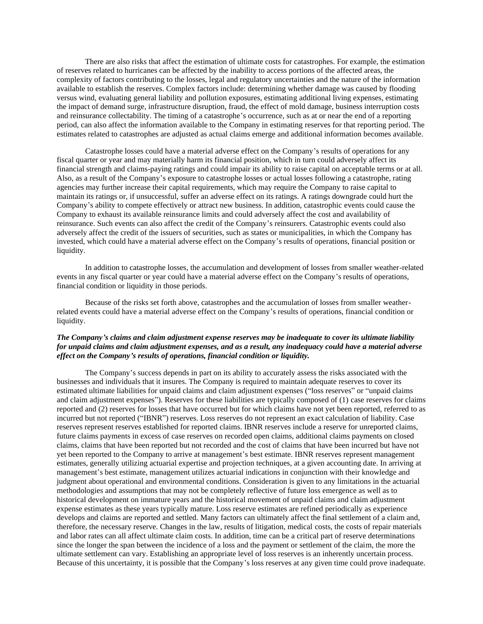There are also risks that affect the estimation of ultimate costs for catastrophes. For example, the estimation of reserves related to hurricanes can be affected by the inability to access portions of the affected areas, the complexity of factors contributing to the losses, legal and regulatory uncertainties and the nature of the information available to establish the reserves. Complex factors include: determining whether damage was caused by flooding versus wind, evaluating general liability and pollution exposures, estimating additional living expenses, estimating the impact of demand surge, infrastructure disruption, fraud, the effect of mold damage, business interruption costs and reinsurance collectability. The timing of a catastrophe's occurrence, such as at or near the end of a reporting period, can also affect the information available to the Company in estimating reserves for that reporting period. The estimates related to catastrophes are adjusted as actual claims emerge and additional information becomes available.

Catastrophe losses could have a material adverse effect on the Company's results of operations for any fiscal quarter or year and may materially harm its financial position, which in turn could adversely affect its financial strength and claims-paying ratings and could impair its ability to raise capital on acceptable terms or at all. Also, as a result of the Company's exposure to catastrophe losses or actual losses following a catastrophe, rating agencies may further increase their capital requirements, which may require the Company to raise capital to maintain its ratings or, if unsuccessful, suffer an adverse effect on its ratings. A ratings downgrade could hurt the Company's ability to compete effectively or attract new business. In addition, catastrophic events could cause the Company to exhaust its available reinsurance limits and could adversely affect the cost and availability of reinsurance. Such events can also affect the credit of the Company's reinsurers. Catastrophic events could also adversely affect the credit of the issuers of securities, such as states or municipalities, in which the Company has invested, which could have a material adverse effect on the Company's results of operations, financial position or liquidity.

In addition to catastrophe losses, the accumulation and development of losses from smaller weather-related events in any fiscal quarter or year could have a material adverse effect on the Company's results of operations, financial condition or liquidity in those periods.

Because of the risks set forth above, catastrophes and the accumulation of losses from smaller weatherrelated events could have a material adverse effect on the Company's results of operations, financial condition or liquidity.

# *The Company's claims and claim adjustment expense reserves may be inadequate to cover its ultimate liability for unpaid claims and claim adjustment expenses, and as a result, any inadequacy could have a material adverse effect on the Company's results of operations, financial condition or liquidity.*

The Company's success depends in part on its ability to accurately assess the risks associated with the businesses and individuals that it insures. The Company is required to maintain adequate reserves to cover its estimated ultimate liabilities for unpaid claims and claim adjustment expenses ("loss reserves" or "unpaid claims and claim adjustment expenses"). Reserves for these liabilities are typically composed of (1) case reserves for claims reported and (2) reserves for losses that have occurred but for which claims have not yet been reported, referred to as incurred but not reported ("IBNR") reserves. Loss reserves do not represent an exact calculation of liability. Case reserves represent reserves established for reported claims. IBNR reserves include a reserve for unreported claims, future claims payments in excess of case reserves on recorded open claims, additional claims payments on closed claims, claims that have been reported but not recorded and the cost of claims that have been incurred but have not yet been reported to the Company to arrive at management's best estimate. IBNR reserves represent management estimates, generally utilizing actuarial expertise and projection techniques, at a given accounting date. In arriving at management's best estimate, management utilizes actuarial indications in conjunction with their knowledge and judgment about operational and environmental conditions. Consideration is given to any limitations in the actuarial methodologies and assumptions that may not be completely reflective of future loss emergence as well as to historical development on immature years and the historical movement of unpaid claims and claim adjustment expense estimates as these years typically mature. Loss reserve estimates are refined periodically as experience develops and claims are reported and settled. Many factors can ultimately affect the final settlement of a claim and, therefore, the necessary reserve. Changes in the law, results of litigation, medical costs, the costs of repair materials and labor rates can all affect ultimate claim costs. In addition, time can be a critical part of reserve determinations since the longer the span between the incidence of a loss and the payment or settlement of the claim, the more the ultimate settlement can vary. Establishing an appropriate level of loss reserves is an inherently uncertain process. Because of this uncertainty, it is possible that the Company's loss reserves at any given time could prove inadequate.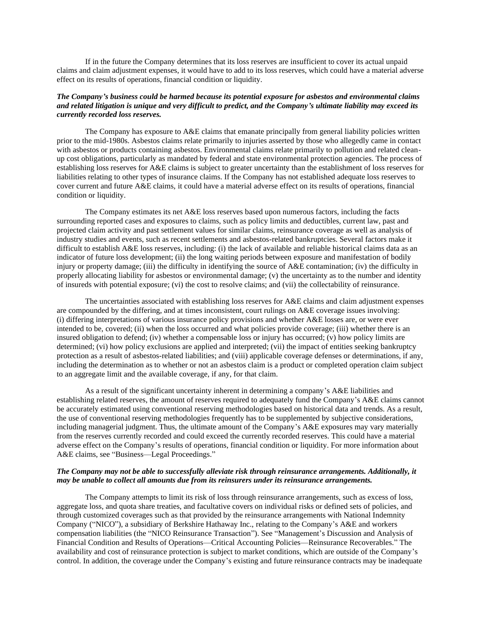If in the future the Company determines that its loss reserves are insufficient to cover its actual unpaid claims and claim adjustment expenses, it would have to add to its loss reserves, which could have a material adverse effect on its results of operations, financial condition or liquidity.

### *The Company's business could be harmed because its potential exposure for asbestos and environmental claims and related litigation is unique and very difficult to predict, and the Company's ultimate liability may exceed its currently recorded loss reserves.*

The Company has exposure to A&E claims that emanate principally from general liability policies written prior to the mid-1980s. Asbestos claims relate primarily to injuries asserted by those who allegedly came in contact with asbestos or products containing asbestos. Environmental claims relate primarily to pollution and related cleanup cost obligations, particularly as mandated by federal and state environmental protection agencies. The process of establishing loss reserves for A&E claims is subject to greater uncertainty than the establishment of loss reserves for liabilities relating to other types of insurance claims. If the Company has not established adequate loss reserves to cover current and future A&E claims, it could have a material adverse effect on its results of operations, financial condition or liquidity.

The Company estimates its net A&E loss reserves based upon numerous factors, including the facts surrounding reported cases and exposures to claims, such as policy limits and deductibles, current law, past and projected claim activity and past settlement values for similar claims, reinsurance coverage as well as analysis of industry studies and events, such as recent settlements and asbestos-related bankruptcies. Several factors make it difficult to establish A&E loss reserves, including: (i) the lack of available and reliable historical claims data as an indicator of future loss development; (ii) the long waiting periods between exposure and manifestation of bodily injury or property damage; (iii) the difficulty in identifying the source of A&E contamination; (iv) the difficulty in properly allocating liability for asbestos or environmental damage; (v) the uncertainty as to the number and identity of insureds with potential exposure; (vi) the cost to resolve claims; and (vii) the collectability of reinsurance.

The uncertainties associated with establishing loss reserves for A&E claims and claim adjustment expenses are compounded by the differing, and at times inconsistent, court rulings on A&E coverage issues involving: (i) differing interpretations of various insurance policy provisions and whether A&E losses are, or were ever intended to be, covered; (ii) when the loss occurred and what policies provide coverage; (iii) whether there is an insured obligation to defend; (iv) whether a compensable loss or injury has occurred; (v) how policy limits are determined; (vi) how policy exclusions are applied and interpreted; (vii) the impact of entities seeking bankruptcy protection as a result of asbestos-related liabilities; and (viii) applicable coverage defenses or determinations, if any, including the determination as to whether or not an asbestos claim is a product or completed operation claim subject to an aggregate limit and the available coverage, if any, for that claim.

As a result of the significant uncertainty inherent in determining a company's A&E liabilities and establishing related reserves, the amount of reserves required to adequately fund the Company's A&E claims cannot be accurately estimated using conventional reserving methodologies based on historical data and trends. As a result, the use of conventional reserving methodologies frequently has to be supplemented by subjective considerations, including managerial judgment. Thus, the ultimate amount of the Company's A&E exposures may vary materially from the reserves currently recorded and could exceed the currently recorded reserves. This could have a material adverse effect on the Company's results of operations, financial condition or liquidity. For more information about A&E claims, see "Business—Legal Proceedings."

#### *The Company may not be able to successfully alleviate risk through reinsurance arrangements. Additionally, it may be unable to collect all amounts due from its reinsurers under its reinsurance arrangements.*

The Company attempts to limit its risk of loss through reinsurance arrangements, such as excess of loss, aggregate loss, and quota share treaties, and facultative covers on individual risks or defined sets of policies, and through customized coverages such as that provided by the reinsurance arrangements with National Indemnity Company ("NICO"), a subsidiary of Berkshire Hathaway Inc., relating to the Company's A&E and workers compensation liabilities (the "NICO Reinsurance Transaction"). See "Management's Discussion and Analysis of Financial Condition and Results of Operations—Critical Accounting Policies—Reinsurance Recoverables." The availability and cost of reinsurance protection is subject to market conditions, which are outside of the Company's control. In addition, the coverage under the Company's existing and future reinsurance contracts may be inadequate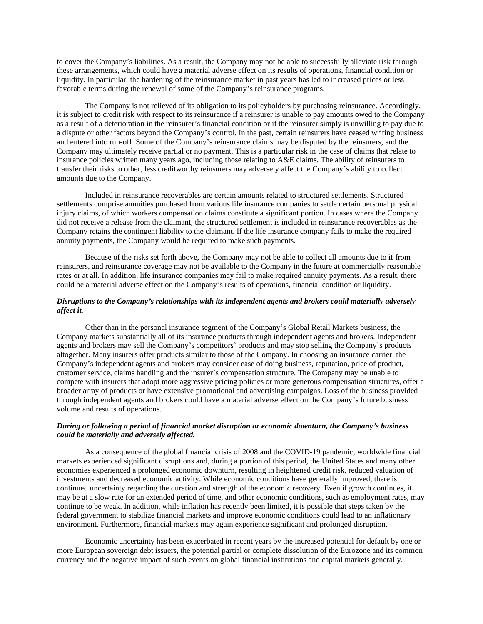to cover the Company's liabilities. As a result, the Company may not be able to successfully alleviate risk through these arrangements, which could have a material adverse effect on its results of operations, financial condition or liquidity. In particular, the hardening of the reinsurance market in past years has led to increased prices or less favorable terms during the renewal of some of the Company's reinsurance programs.

The Company is not relieved of its obligation to its policyholders by purchasing reinsurance. Accordingly, it is subject to credit risk with respect to its reinsurance if a reinsurer is unable to pay amounts owed to the Company as a result of a deterioration in the reinsurer's financial condition or if the reinsurer simply is unwilling to pay due to a dispute or other factors beyond the Company's control. In the past, certain reinsurers have ceased writing business and entered into run-off. Some of the Company's reinsurance claims may be disputed by the reinsurers, and the Company may ultimately receive partial or no payment. This is a particular risk in the case of claims that relate to insurance policies written many years ago, including those relating to A&E claims. The ability of reinsurers to transfer their risks to other, less creditworthy reinsurers may adversely affect the Company's ability to collect amounts due to the Company.

Included in reinsurance recoverables are certain amounts related to structured settlements. Structured settlements comprise annuities purchased from various life insurance companies to settle certain personal physical injury claims, of which workers compensation claims constitute a significant portion. In cases where the Company did not receive a release from the claimant, the structured settlement is included in reinsurance recoverables as the Company retains the contingent liability to the claimant. If the life insurance company fails to make the required annuity payments, the Company would be required to make such payments.

Because of the risks set forth above, the Company may not be able to collect all amounts due to it from reinsurers, and reinsurance coverage may not be available to the Company in the future at commercially reasonable rates or at all. In addition, life insurance companies may fail to make required annuity payments. As a result, there could be a material adverse effect on the Company's results of operations, financial condition or liquidity.

# *Disruptions to the Company's relationships with its independent agents and brokers could materially adversely affect it.*

Other than in the personal insurance segment of the Company's Global Retail Markets business, the Company markets substantially all of its insurance products through independent agents and brokers. Independent agents and brokers may sell the Company's competitors' products and may stop selling the Company's products altogether. Many insurers offer products similar to those of the Company. In choosing an insurance carrier, the Company's independent agents and brokers may consider ease of doing business, reputation, price of product, customer service, claims handling and the insurer's compensation structure. The Company may be unable to compete with insurers that adopt more aggressive pricing policies or more generous compensation structures, offer a broader array of products or have extensive promotional and advertising campaigns. Loss of the business provided through independent agents and brokers could have a material adverse effect on the Company's future business volume and results of operations.

# *During or following a period of financial market disruption or economic downturn, the Company's business could be materially and adversely affected.*

As a consequence of the global financial crisis of 2008 and the COVID-19 pandemic, worldwide financial markets experienced significant disruptions and, during a portion of this period, the United States and many other economies experienced a prolonged economic downturn, resulting in heightened credit risk, reduced valuation of investments and decreased economic activity. While economic conditions have generally improved, there is continued uncertainty regarding the duration and strength of the economic recovery. Even if growth continues, it may be at a slow rate for an extended period of time, and other economic conditions, such as employment rates, may continue to be weak. In addition, while inflation has recently been limited, it is possible that steps taken by the federal government to stabilize financial markets and improve economic conditions could lead to an inflationary environment. Furthermore, financial markets may again experience significant and prolonged disruption.

Economic uncertainty has been exacerbated in recent years by the increased potential for default by one or more European sovereign debt issuers, the potential partial or complete dissolution of the Eurozone and its common currency and the negative impact of such events on global financial institutions and capital markets generally.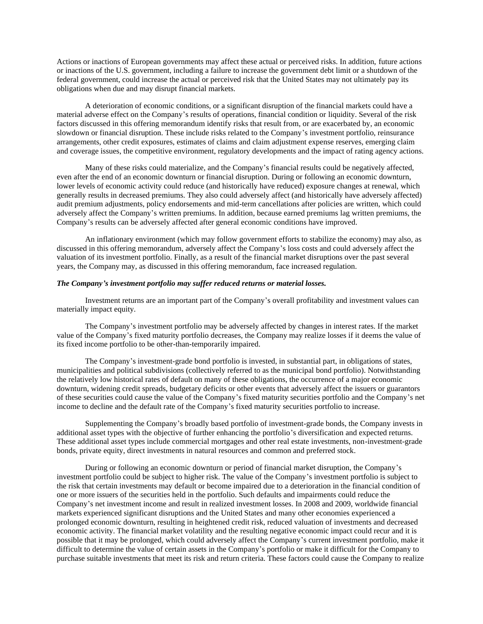Actions or inactions of European governments may affect these actual or perceived risks. In addition, future actions or inactions of the U.S. government, including a failure to increase the government debt limit or a shutdown of the federal government, could increase the actual or perceived risk that the United States may not ultimately pay its obligations when due and may disrupt financial markets.

A deterioration of economic conditions, or a significant disruption of the financial markets could have a material adverse effect on the Company's results of operations, financial condition or liquidity. Several of the risk factors discussed in this offering memorandum identify risks that result from, or are exacerbated by, an economic slowdown or financial disruption. These include risks related to the Company's investment portfolio, reinsurance arrangements, other credit exposures, estimates of claims and claim adjustment expense reserves, emerging claim and coverage issues, the competitive environment, regulatory developments and the impact of rating agency actions.

Many of these risks could materialize, and the Company's financial results could be negatively affected, even after the end of an economic downturn or financial disruption. During or following an economic downturn, lower levels of economic activity could reduce (and historically have reduced) exposure changes at renewal, which generally results in decreased premiums. They also could adversely affect (and historically have adversely affected) audit premium adjustments, policy endorsements and mid-term cancellations after policies are written, which could adversely affect the Company's written premiums. In addition, because earned premiums lag written premiums, the Company's results can be adversely affected after general economic conditions have improved.

An inflationary environment (which may follow government efforts to stabilize the economy) may also, as discussed in this offering memorandum, adversely affect the Company's loss costs and could adversely affect the valuation of its investment portfolio. Finally, as a result of the financial market disruptions over the past several years, the Company may, as discussed in this offering memorandum, face increased regulation.

#### *The Company's investment portfolio may suffer reduced returns or material losses.*

Investment returns are an important part of the Company's overall profitability and investment values can materially impact equity.

The Company's investment portfolio may be adversely affected by changes in interest rates. If the market value of the Company's fixed maturity portfolio decreases, the Company may realize losses if it deems the value of its fixed income portfolio to be other-than-temporarily impaired.

The Company's investment-grade bond portfolio is invested, in substantial part, in obligations of states, municipalities and political subdivisions (collectively referred to as the municipal bond portfolio). Notwithstanding the relatively low historical rates of default on many of these obligations, the occurrence of a major economic downturn, widening credit spreads, budgetary deficits or other events that adversely affect the issuers or guarantors of these securities could cause the value of the Company's fixed maturity securities portfolio and the Company's net income to decline and the default rate of the Company's fixed maturity securities portfolio to increase.

Supplementing the Company's broadly based portfolio of investment-grade bonds, the Company invests in additional asset types with the objective of further enhancing the portfolio's diversification and expected returns. These additional asset types include commercial mortgages and other real estate investments, non-investment-grade bonds, private equity, direct investments in natural resources and common and preferred stock.

During or following an economic downturn or period of financial market disruption, the Company's investment portfolio could be subject to higher risk. The value of the Company's investment portfolio is subject to the risk that certain investments may default or become impaired due to a deterioration in the financial condition of one or more issuers of the securities held in the portfolio. Such defaults and impairments could reduce the Company's net investment income and result in realized investment losses. In 2008 and 2009, worldwide financial markets experienced significant disruptions and the United States and many other economies experienced a prolonged economic downturn, resulting in heightened credit risk, reduced valuation of investments and decreased economic activity. The financial market volatility and the resulting negative economic impact could recur and it is possible that it may be prolonged, which could adversely affect the Company's current investment portfolio, make it difficult to determine the value of certain assets in the Company's portfolio or make it difficult for the Company to purchase suitable investments that meet its risk and return criteria. These factors could cause the Company to realize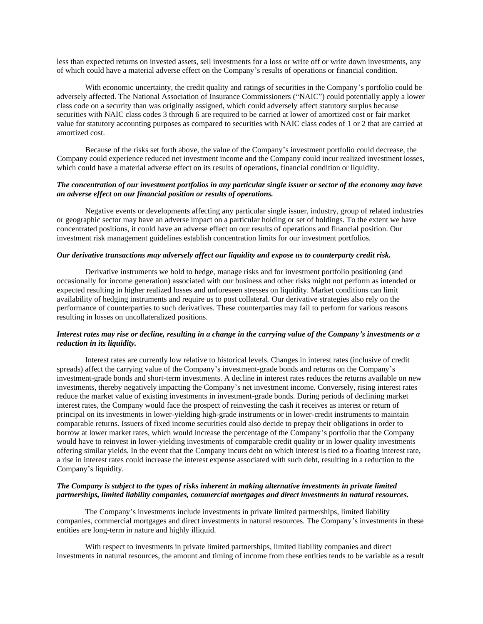less than expected returns on invested assets, sell investments for a loss or write off or write down investments, any of which could have a material adverse effect on the Company's results of operations or financial condition.

With economic uncertainty, the credit quality and ratings of securities in the Company's portfolio could be adversely affected. The National Association of Insurance Commissioners ("NAIC") could potentially apply a lower class code on a security than was originally assigned, which could adversely affect statutory surplus because securities with NAIC class codes 3 through 6 are required to be carried at lower of amortized cost or fair market value for statutory accounting purposes as compared to securities with NAIC class codes of 1 or 2 that are carried at amortized cost.

Because of the risks set forth above, the value of the Company's investment portfolio could decrease, the Company could experience reduced net investment income and the Company could incur realized investment losses, which could have a material adverse effect on its results of operations, financial condition or liquidity.

#### *The concentration of our investment portfolios in any particular single issuer or sector of the economy may have an adverse effect on our financial position or results of operations.*

Negative events or developments affecting any particular single issuer, industry, group of related industries or geographic sector may have an adverse impact on a particular holding or set of holdings. To the extent we have concentrated positions, it could have an adverse effect on our results of operations and financial position. Our investment risk management guidelines establish concentration limits for our investment portfolios.

#### *Our derivative transactions may adversely affect our liquidity and expose us to counterparty credit risk.*

Derivative instruments we hold to hedge, manage risks and for investment portfolio positioning (and occasionally for income generation) associated with our business and other risks might not perform as intended or expected resulting in higher realized losses and unforeseen stresses on liquidity. Market conditions can limit availability of hedging instruments and require us to post collateral. Our derivative strategies also rely on the performance of counterparties to such derivatives. These counterparties may fail to perform for various reasons resulting in losses on uncollateralized positions.

# *Interest rates may rise or decline, resulting in a change in the carrying value of the Company's investments or a reduction in its liquidity.*

Interest rates are currently low relative to historical levels. Changes in interest rates (inclusive of credit spreads) affect the carrying value of the Company's investment-grade bonds and returns on the Company's investment-grade bonds and short-term investments. A decline in interest rates reduces the returns available on new investments, thereby negatively impacting the Company's net investment income. Conversely, rising interest rates reduce the market value of existing investments in investment-grade bonds. During periods of declining market interest rates, the Company would face the prospect of reinvesting the cash it receives as interest or return of principal on its investments in lower-yielding high-grade instruments or in lower-credit instruments to maintain comparable returns. Issuers of fixed income securities could also decide to prepay their obligations in order to borrow at lower market rates, which would increase the percentage of the Company's portfolio that the Company would have to reinvest in lower-yielding investments of comparable credit quality or in lower quality investments offering similar yields. In the event that the Company incurs debt on which interest is tied to a floating interest rate, a rise in interest rates could increase the interest expense associated with such debt, resulting in a reduction to the Company's liquidity.

#### *The Company is subject to the types of risks inherent in making alternative investments in private limited partnerships, limited liability companies, commercial mortgages and direct investments in natural resources.*

The Company's investments include investments in private limited partnerships, limited liability companies, commercial mortgages and direct investments in natural resources. The Company's investments in these entities are long-term in nature and highly illiquid.

With respect to investments in private limited partnerships, limited liability companies and direct investments in natural resources, the amount and timing of income from these entities tends to be variable as a result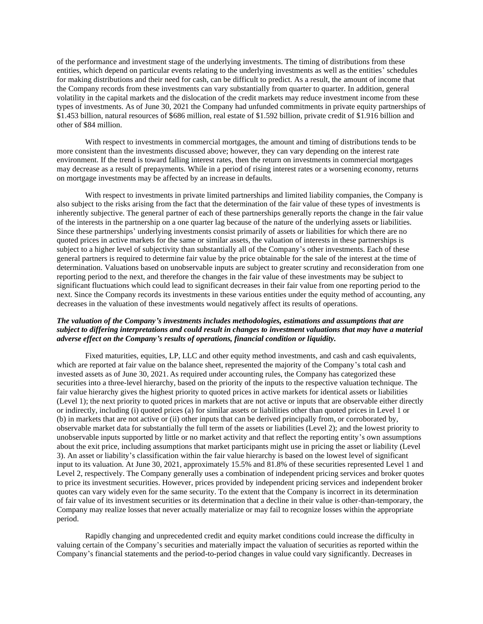of the performance and investment stage of the underlying investments. The timing of distributions from these entities, which depend on particular events relating to the underlying investments as well as the entities' schedules for making distributions and their need for cash, can be difficult to predict. As a result, the amount of income that the Company records from these investments can vary substantially from quarter to quarter. In addition, general volatility in the capital markets and the dislocation of the credit markets may reduce investment income from these types of investments. As of June 30, 2021 the Company had unfunded commitments in private equity partnerships of \$1.453 billion, natural resources of \$686 million, real estate of \$1.592 billion, private credit of \$1.916 billion and other of \$84 million.

With respect to investments in commercial mortgages, the amount and timing of distributions tends to be more consistent than the investments discussed above; however, they can vary depending on the interest rate environment. If the trend is toward falling interest rates, then the return on investments in commercial mortgages may decrease as a result of prepayments. While in a period of rising interest rates or a worsening economy, returns on mortgage investments may be affected by an increase in defaults.

With respect to investments in private limited partnerships and limited liability companies, the Company is also subject to the risks arising from the fact that the determination of the fair value of these types of investments is inherently subjective. The general partner of each of these partnerships generally reports the change in the fair value of the interests in the partnership on a one quarter lag because of the nature of the underlying assets or liabilities. Since these partnerships' underlying investments consist primarily of assets or liabilities for which there are no quoted prices in active markets for the same or similar assets, the valuation of interests in these partnerships is subject to a higher level of subjectivity than substantially all of the Company's other investments. Each of these general partners is required to determine fair value by the price obtainable for the sale of the interest at the time of determination. Valuations based on unobservable inputs are subject to greater scrutiny and reconsideration from one reporting period to the next, and therefore the changes in the fair value of these investments may be subject to significant fluctuations which could lead to significant decreases in their fair value from one reporting period to the next. Since the Company records its investments in these various entities under the equity method of accounting, any decreases in the valuation of these investments would negatively affect its results of operations.

# *The valuation of the Company's investments includes methodologies, estimations and assumptions that are subject to differing interpretations and could result in changes to investment valuations that may have a material adverse effect on the Company's results of operations, financial condition or liquidity.*

Fixed maturities, equities, LP, LLC and other equity method investments, and cash and cash equivalents, which are reported at fair value on the balance sheet, represented the majority of the Company's total cash and invested assets as of June 30, 2021. As required under accounting rules, the Company has categorized these securities into a three-level hierarchy, based on the priority of the inputs to the respective valuation technique. The fair value hierarchy gives the highest priority to quoted prices in active markets for identical assets or liabilities (Level 1); the next priority to quoted prices in markets that are not active or inputs that are observable either directly or indirectly, including (i) quoted prices (a) for similar assets or liabilities other than quoted prices in Level 1 or (b) in markets that are not active or (ii) other inputs that can be derived principally from, or corroborated by, observable market data for substantially the full term of the assets or liabilities (Level 2); and the lowest priority to unobservable inputs supported by little or no market activity and that reflect the reporting entity's own assumptions about the exit price, including assumptions that market participants might use in pricing the asset or liability (Level 3). An asset or liability's classification within the fair value hierarchy is based on the lowest level of significant input to its valuation. At June 30, 2021, approximately 15.5% and 81.8% of these securities represented Level 1 and Level 2, respectively. The Company generally uses a combination of independent pricing services and broker quotes to price its investment securities. However, prices provided by independent pricing services and independent broker quotes can vary widely even for the same security. To the extent that the Company is incorrect in its determination of fair value of its investment securities or its determination that a decline in their value is other-than-temporary, the Company may realize losses that never actually materialize or may fail to recognize losses within the appropriate period.

Rapidly changing and unprecedented credit and equity market conditions could increase the difficulty in valuing certain of the Company's securities and materially impact the valuation of securities as reported within the Company's financial statements and the period-to-period changes in value could vary significantly. Decreases in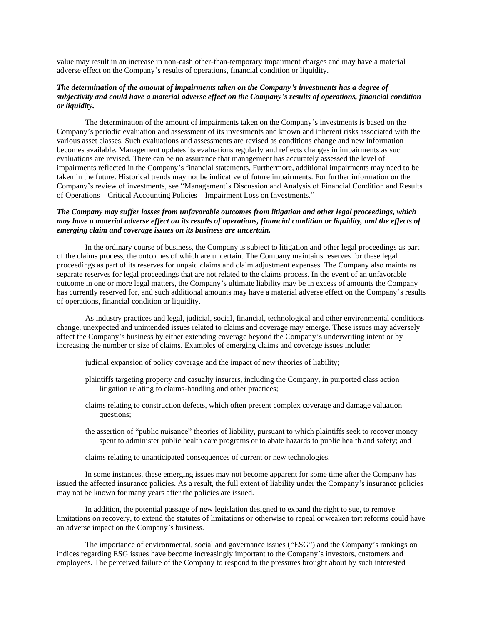value may result in an increase in non-cash other-than-temporary impairment charges and may have a material adverse effect on the Company's results of operations, financial condition or liquidity.

### *The determination of the amount of impairments taken on the Company's investments has a degree of subjectivity and could have a material adverse effect on the Company's results of operations, financial condition or liquidity.*

The determination of the amount of impairments taken on the Company's investments is based on the Company's periodic evaluation and assessment of its investments and known and inherent risks associated with the various asset classes. Such evaluations and assessments are revised as conditions change and new information becomes available. Management updates its evaluations regularly and reflects changes in impairments as such evaluations are revised. There can be no assurance that management has accurately assessed the level of impairments reflected in the Company's financial statements. Furthermore, additional impairments may need to be taken in the future. Historical trends may not be indicative of future impairments. For further information on the Company's review of investments, see "Management's Discussion and Analysis of Financial Condition and Results of Operations—Critical Accounting Policies—Impairment Loss on Investments."

# *The Company may suffer losses from unfavorable outcomes from litigation and other legal proceedings, which may have a material adverse effect on its results of operations, financial condition or liquidity, and the effects of emerging claim and coverage issues on its business are uncertain.*

In the ordinary course of business, the Company is subject to litigation and other legal proceedings as part of the claims process, the outcomes of which are uncertain. The Company maintains reserves for these legal proceedings as part of its reserves for unpaid claims and claim adjustment expenses. The Company also maintains separate reserves for legal proceedings that are not related to the claims process. In the event of an unfavorable outcome in one or more legal matters, the Company's ultimate liability may be in excess of amounts the Company has currently reserved for, and such additional amounts may have a material adverse effect on the Company's results of operations, financial condition or liquidity.

As industry practices and legal, judicial, social, financial, technological and other environmental conditions change, unexpected and unintended issues related to claims and coverage may emerge. These issues may adversely affect the Company's business by either extending coverage beyond the Company's underwriting intent or by increasing the number or size of claims. Examples of emerging claims and coverage issues include:

- judicial expansion of policy coverage and the impact of new theories of liability;
- plaintiffs targeting property and casualty insurers, including the Company, in purported class action litigation relating to claims-handling and other practices;
- claims relating to construction defects, which often present complex coverage and damage valuation questions;
- the assertion of "public nuisance" theories of liability, pursuant to which plaintiffs seek to recover money spent to administer public health care programs or to abate hazards to public health and safety; and

claims relating to unanticipated consequences of current or new technologies.

In some instances, these emerging issues may not become apparent for some time after the Company has issued the affected insurance policies. As a result, the full extent of liability under the Company's insurance policies may not be known for many years after the policies are issued.

In addition, the potential passage of new legislation designed to expand the right to sue, to remove limitations on recovery, to extend the statutes of limitations or otherwise to repeal or weaken tort reforms could have an adverse impact on the Company's business.

The importance of environmental, social and governance issues ("ESG") and the Company's rankings on indices regarding ESG issues have become increasingly important to the Company's investors, customers and employees. The perceived failure of the Company to respond to the pressures brought about by such interested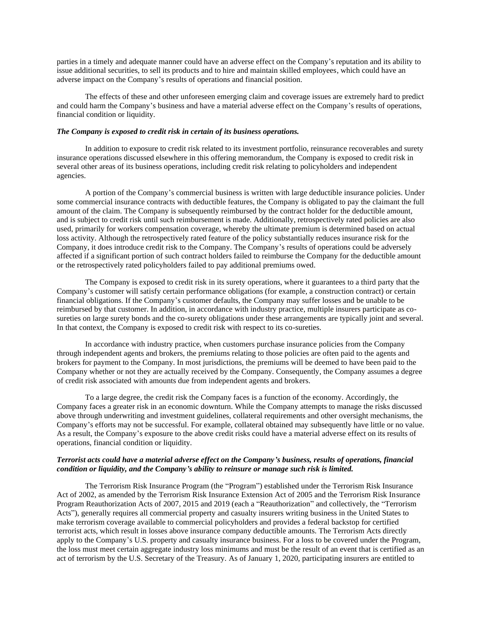parties in a timely and adequate manner could have an adverse effect on the Company's reputation and its ability to issue additional securities, to sell its products and to hire and maintain skilled employees, which could have an adverse impact on the Company's results of operations and financial position.

The effects of these and other unforeseen emerging claim and coverage issues are extremely hard to predict and could harm the Company's business and have a material adverse effect on the Company's results of operations, financial condition or liquidity.

#### *The Company is exposed to credit risk in certain of its business operations.*

In addition to exposure to credit risk related to its investment portfolio, reinsurance recoverables and surety insurance operations discussed elsewhere in this offering memorandum, the Company is exposed to credit risk in several other areas of its business operations, including credit risk relating to policyholders and independent agencies.

A portion of the Company's commercial business is written with large deductible insurance policies. Under some commercial insurance contracts with deductible features, the Company is obligated to pay the claimant the full amount of the claim. The Company is subsequently reimbursed by the contract holder for the deductible amount, and is subject to credit risk until such reimbursement is made. Additionally, retrospectively rated policies are also used, primarily for workers compensation coverage, whereby the ultimate premium is determined based on actual loss activity. Although the retrospectively rated feature of the policy substantially reduces insurance risk for the Company, it does introduce credit risk to the Company. The Company's results of operations could be adversely affected if a significant portion of such contract holders failed to reimburse the Company for the deductible amount or the retrospectively rated policyholders failed to pay additional premiums owed.

The Company is exposed to credit risk in its surety operations, where it guarantees to a third party that the Company's customer will satisfy certain performance obligations (for example, a construction contract) or certain financial obligations. If the Company's customer defaults, the Company may suffer losses and be unable to be reimbursed by that customer. In addition, in accordance with industry practice, multiple insurers participate as cosureties on large surety bonds and the co-surety obligations under these arrangements are typically joint and several. In that context, the Company is exposed to credit risk with respect to its co-sureties.

In accordance with industry practice, when customers purchase insurance policies from the Company through independent agents and brokers, the premiums relating to those policies are often paid to the agents and brokers for payment to the Company. In most jurisdictions, the premiums will be deemed to have been paid to the Company whether or not they are actually received by the Company. Consequently, the Company assumes a degree of credit risk associated with amounts due from independent agents and brokers.

To a large degree, the credit risk the Company faces is a function of the economy. Accordingly, the Company faces a greater risk in an economic downturn. While the Company attempts to manage the risks discussed above through underwriting and investment guidelines, collateral requirements and other oversight mechanisms, the Company's efforts may not be successful. For example, collateral obtained may subsequently have little or no value. As a result, the Company's exposure to the above credit risks could have a material adverse effect on its results of operations, financial condition or liquidity.

### *Terrorist acts could have a material adverse effect on the Company's business, results of operations, financial condition or liquidity, and the Company's ability to reinsure or manage such risk is limited.*

The Terrorism Risk Insurance Program (the "Program") established under the Terrorism Risk Insurance Act of 2002, as amended by the Terrorism Risk Insurance Extension Act of 2005 and the Terrorism Risk Insurance Program Reauthorization Acts of 2007, 2015 and 2019 (each a "Reauthorization" and collectively, the "Terrorism Acts"), generally requires all commercial property and casualty insurers writing business in the United States to make terrorism coverage available to commercial policyholders and provides a federal backstop for certified terrorist acts, which result in losses above insurance company deductible amounts. The Terrorism Acts directly apply to the Company's U.S. property and casualty insurance business. For a loss to be covered under the Program, the loss must meet certain aggregate industry loss minimums and must be the result of an event that is certified as an act of terrorism by the U.S. Secretary of the Treasury. As of January 1, 2020, participating insurers are entitled to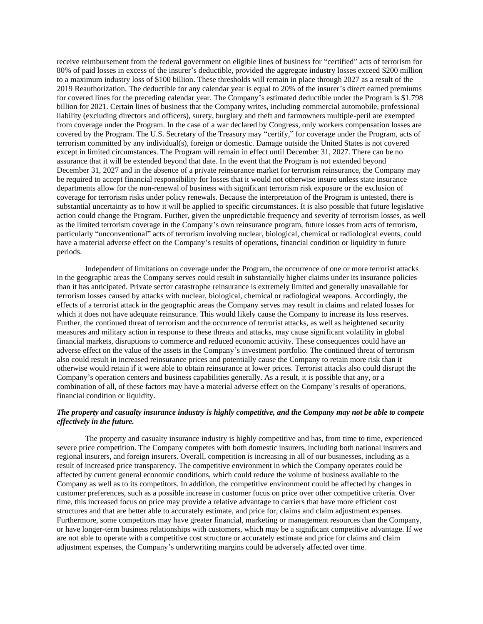receive reimbursement from the federal government on eligible lines of business for "certified" acts of terrorism for 80% of paid losses in excess of the insurer's deductible, provided the aggregate industry losses exceed \$200 million to a maximum industry loss of \$100 billion. These thresholds will remain in place through 2027 as a result of the 2019 Reauthorization. The deductible for any calendar year is equal to 20% of the insurer's direct earned premiums for covered lines for the preceding calendar year. The Company's estimated deductible under the Program is \$1.798 billion for 2021. Certain lines of business that the Company writes, including commercial automobile, professional liability (excluding directors and officers), surety, burglary and theft and farmowners multiple-peril are exempted from coverage under the Program. In the case of a war declared by Congress, only workers compensation losses are covered by the Program. The U.S. Secretary of the Treasury may "certify," for coverage under the Program, acts of terrorism committed by any individual(s), foreign or domestic. Damage outside the United States is not covered except in limited circumstances. The Program will remain in effect until December 31, 2027. There can be no assurance that it will be extended beyond that date. In the event that the Program is not extended beyond December 31, 2027 and in the absence of a private reinsurance market for terrorism reinsurance, the Company may be required to accept financial responsibility for losses that it would not otherwise insure unless state insurance departments allow for the non-renewal of business with significant terrorism risk exposure or the exclusion of coverage for terrorism risks under policy renewals. Because the interpretation of the Program is untested, there is substantial uncertainty as to how it will be applied to specific circumstances. It is also possible that future legislative action could change the Program. Further, given the unpredictable frequency and severity of terrorism losses, as well as the limited terrorism coverage in the Company's own reinsurance program, future losses from acts of terrorism, particularly "unconventional" acts of terrorism involving nuclear, biological, chemical or radiological events, could have a material adverse effect on the Company's results of operations, financial condition or liquidity in future periods.

Independent of limitations on coverage under the Program, the occurrence of one or more terrorist attacks in the geographic areas the Company serves could result in substantially higher claims under its insurance policies than it has anticipated. Private sector catastrophe reinsurance is extremely limited and generally unavailable for terrorism losses caused by attacks with nuclear, biological, chemical or radiological weapons. Accordingly, the effects of a terrorist attack in the geographic areas the Company serves may result in claims and related losses for which it does not have adequate reinsurance. This would likely cause the Company to increase its loss reserves. Further, the continued threat of terrorism and the occurrence of terrorist attacks, as well as heightened security measures and military action in response to these threats and attacks, may cause significant volatility in global financial markets, disruptions to commerce and reduced economic activity. These consequences could have an adverse effect on the value of the assets in the Company's investment portfolio. The continued threat of terrorism also could result in increased reinsurance prices and potentially cause the Company to retain more risk than it otherwise would retain if it were able to obtain reinsurance at lower prices. Terrorist attacks also could disrupt the Company's operation centers and business capabilities generally. As a result, it is possible that any, or a combination of all, of these factors may have a material adverse effect on the Company's results of operations, financial condition or liquidity.

# *The property and casualty insurance industry is highly competitive, and the Company may not be able to compete effectively in the future.*

The property and casualty insurance industry is highly competitive and has, from time to time, experienced severe price competition. The Company competes with both domestic insurers, including both national insurers and regional insurers, and foreign insurers. Overall, competition is increasing in all of our businesses, including as a result of increased price transparency. The competitive environment in which the Company operates could be affected by current general economic conditions, which could reduce the volume of business available to the Company as well as to its competitors. In addition, the competitive environment could be affected by changes in customer preferences, such as a possible increase in customer focus on price over other competitive criteria. Over time, this increased focus on price may provide a relative advantage to carriers that have more efficient cost structures and that are better able to accurately estimate, and price for, claims and claim adjustment expenses. Furthermore, some competitors may have greater financial, marketing or management resources than the Company, or have longer-term business relationships with customers, which may be a significant competitive advantage. If we are not able to operate with a competitive cost structure or accurately estimate and price for claims and claim adjustment expenses, the Company's underwriting margins could be adversely affected over time.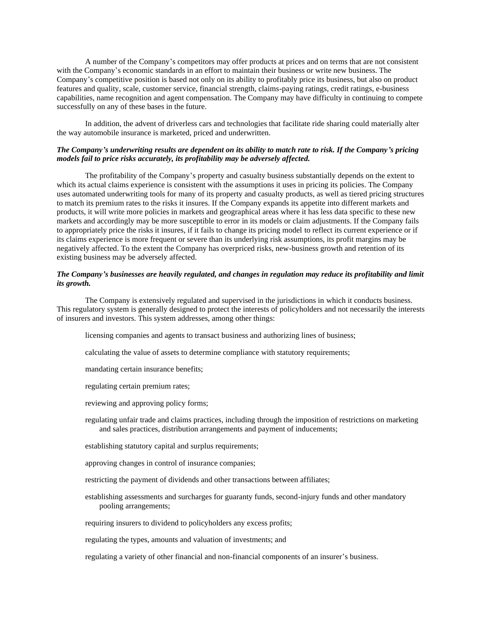A number of the Company's competitors may offer products at prices and on terms that are not consistent with the Company's economic standards in an effort to maintain their business or write new business. The Company's competitive position is based not only on its ability to profitably price its business, but also on product features and quality, scale, customer service, financial strength, claims-paying ratings, credit ratings, e-business capabilities, name recognition and agent compensation. The Company may have difficulty in continuing to compete successfully on any of these bases in the future.

In addition, the advent of driverless cars and technologies that facilitate ride sharing could materially alter the way automobile insurance is marketed, priced and underwritten.

#### *The Company's underwriting results are dependent on its ability to match rate to risk. If the Company's pricing models fail to price risks accurately, its profitability may be adversely affected.*

The profitability of the Company's property and casualty business substantially depends on the extent to which its actual claims experience is consistent with the assumptions it uses in pricing its policies. The Company uses automated underwriting tools for many of its property and casualty products, as well as tiered pricing structures to match its premium rates to the risks it insures. If the Company expands its appetite into different markets and products, it will write more policies in markets and geographical areas where it has less data specific to these new markets and accordingly may be more susceptible to error in its models or claim adjustments. If the Company fails to appropriately price the risks it insures, if it fails to change its pricing model to reflect its current experience or if its claims experience is more frequent or severe than its underlying risk assumptions, its profit margins may be negatively affected. To the extent the Company has overpriced risks, new-business growth and retention of its existing business may be adversely affected.

#### *The Company's businesses are heavily regulated, and changes in regulation may reduce its profitability and limit its growth.*

The Company is extensively regulated and supervised in the jurisdictions in which it conducts business. This regulatory system is generally designed to protect the interests of policyholders and not necessarily the interests of insurers and investors. This system addresses, among other things:

licensing companies and agents to transact business and authorizing lines of business;

calculating the value of assets to determine compliance with statutory requirements;

mandating certain insurance benefits;

regulating certain premium rates;

reviewing and approving policy forms;

- regulating unfair trade and claims practices, including through the imposition of restrictions on marketing and sales practices, distribution arrangements and payment of inducements;
- establishing statutory capital and surplus requirements;
- approving changes in control of insurance companies;
- restricting the payment of dividends and other transactions between affiliates;
- establishing assessments and surcharges for guaranty funds, second-injury funds and other mandatory pooling arrangements;

requiring insurers to dividend to policyholders any excess profits;

regulating the types, amounts and valuation of investments; and

regulating a variety of other financial and non-financial components of an insurer's business.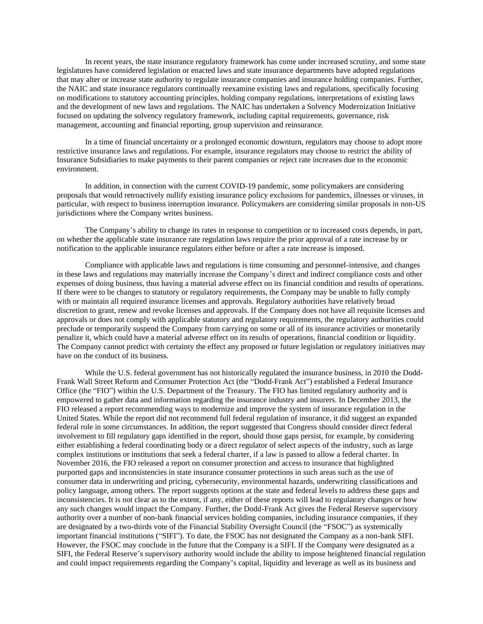In recent years, the state insurance regulatory framework has come under increased scrutiny, and some state legislatures have considered legislation or enacted laws and state insurance departments have adopted regulations that may alter or increase state authority to regulate insurance companies and insurance holding companies. Further, the NAIC and state insurance regulators continually reexamine existing laws and regulations, specifically focusing on modifications to statutory accounting principles, holding company regulations, interpretations of existing laws and the development of new laws and regulations. The NAIC has undertaken a Solvency Modernization Initiative focused on updating the solvency regulatory framework, including capital requirements, governance, risk management, accounting and financial reporting, group supervision and reinsurance.

In a time of financial uncertainty or a prolonged economic downturn, regulators may choose to adopt more restrictive insurance laws and regulations. For example, insurance regulators may choose to restrict the ability of Insurance Subsidiaries to make payments to their parent companies or reject rate increases due to the economic environment.

In addition, in connection with the current COVID-19 pandemic, some policymakers are considering proposals that would retroactively nullify existing insurance policy exclusions for pandemics, illnesses or viruses, in particular, with respect to business interruption insurance. Policymakers are considering similar proposals in non-US jurisdictions where the Company writes business.

The Company's ability to change its rates in response to competition or to increased costs depends, in part, on whether the applicable state insurance rate regulation laws require the prior approval of a rate increase by or notification to the applicable insurance regulators either before or after a rate increase is imposed.

Compliance with applicable laws and regulations is time consuming and personnel-intensive, and changes in these laws and regulations may materially increase the Company's direct and indirect compliance costs and other expenses of doing business, thus having a material adverse effect on its financial condition and results of operations. If there were to be changes to statutory or regulatory requirements, the Company may be unable to fully comply with or maintain all required insurance licenses and approvals. Regulatory authorities have relatively broad discretion to grant, renew and revoke licenses and approvals. If the Company does not have all requisite licenses and approvals or does not comply with applicable statutory and regulatory requirements, the regulatory authorities could preclude or temporarily suspend the Company from carrying on some or all of its insurance activities or monetarily penalize it, which could have a material adverse effect on its results of operations, financial condition or liquidity. The Company cannot predict with certainty the effect any proposed or future legislation or regulatory initiatives may have on the conduct of its business.

While the U.S. federal government has not historically regulated the insurance business, in 2010 the Dodd-Frank Wall Street Reform and Consumer Protection Act (the "Dodd-Frank Act") established a Federal Insurance Office (the "FIO") within the U.S. Department of the Treasury. The FIO has limited regulatory authority and is empowered to gather data and information regarding the insurance industry and insurers. In December 2013, the FIO released a report recommending ways to modernize and improve the system of insurance regulation in the United States. While the report did not recommend full federal regulation of insurance, it did suggest an expanded federal role in some circumstances. In addition, the report suggested that Congress should consider direct federal involvement to fill regulatory gaps identified in the report, should those gaps persist, for example, by considering either establishing a federal coordinating body or a direct regulator of select aspects of the industry, such as large complex institutions or institutions that seek a federal charter, if a law is passed to allow a federal charter. In November 2016, the FIO released a report on consumer protection and access to insurance that highlighted purported gaps and inconsistencies in state insurance consumer protections in such areas such as the use of consumer data in underwriting and pricing, cybersecurity, environmental hazards, underwriting classifications and policy language, among others. The report suggests options at the state and federal levels to address these gaps and inconsistencies. It is not clear as to the extent, if any, either of these reports will lead to regulatory changes or how any such changes would impact the Company. Further, the Dodd-Frank Act gives the Federal Reserve supervisory authority over a number of non-bank financial services holding companies, including insurance companies, if they are designated by a two-thirds vote of the Financial Stability Oversight Council (the "FSOC") as systemically important financial institutions ("SIFI"). To date, the FSOC has not designated the Company as a non-bank SIFI. However, the FSOC may conclude in the future that the Company is a SIFI. If the Company were designated as a SIFI, the Federal Reserve's supervisory authority would include the ability to impose heightened financial regulation and could impact requirements regarding the Company's capital, liquidity and leverage as well as its business and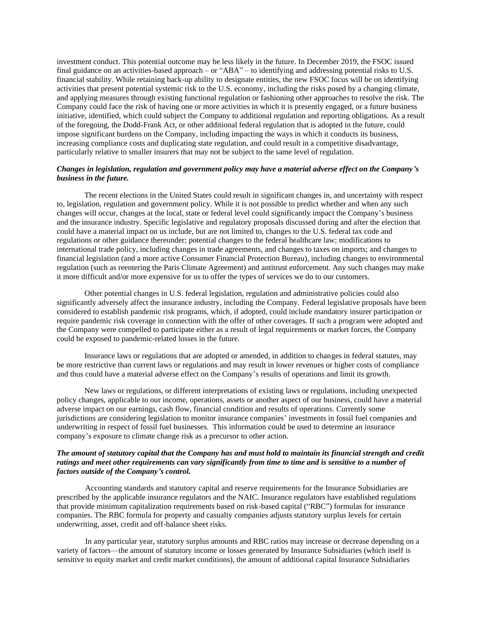investment conduct. This potential outcome may be less likely in the future. In December 2019, the FSOC issued final guidance on an activities-based approach – or "ABA" – to identifying and addressing potential risks to U.S. financial stability. While retaining back-up ability to designate entities, the new FSOC focus will be on identifying activities that present potential systemic risk to the U.S. economy, including the risks posed by a changing climate, and applying measures through existing functional regulation or fashioning other approaches to resolve the risk. The Company could face the risk of having one or more activities in which it is presently engaged, or a future business initiative, identified, which could subject the Company to additional regulation and reporting obligations. As a result of the foregoing, the Dodd-Frank Act, or other additional federal regulation that is adopted in the future, could impose significant burdens on the Company, including impacting the ways in which it conducts its business, increasing compliance costs and duplicating state regulation, and could result in a competitive disadvantage, particularly relative to smaller insurers that may not be subject to the same level of regulation.

# *Changes in legislation, regulation and government policy may have a material adverse effect on the Company's business in the future.*

The recent elections in the United States could result in significant changes in, and uncertainty with respect to, legislation, regulation and government policy. While it is not possible to predict whether and when any such changes will occur, changes at the local, state or federal level could significantly impact the Company's business and the insurance industry. Specific legislative and regulatory proposals discussed during and after the election that could have a material impact on us include, but are not limited to, changes to the U.S. federal tax code and regulations or other guidance thereunder; potential changes to the federal healthcare law; modifications to international trade policy, including changes in trade agreements, and changes to taxes on imports; and changes to financial legislation (and a more active Consumer Financial Protection Bureau), including changes to environmental regulation (such as reentering the Paris Climate Agreement) and antitrust enforcement. Any such changes may make it more difficult and/or more expensive for us to offer the types of services we do to our customers.

 Other potential changes in U.S. federal legislation, regulation and administrative policies could also significantly adversely affect the insurance industry, including the Company. Federal legislative proposals have been considered to establish pandemic risk programs, which, if adopted, could include mandatory insurer participation or require pandemic risk coverage in connection with the offer of other coverages. If such a program were adopted and the Company were compelled to participate either as a result of legal requirements or market forces, the Company could be exposed to pandemic-related losses in the future.

 Insurance laws or regulations that are adopted or amended, in addition to changes in federal statutes, may be more restrictive than current laws or regulations and may result in lower revenues or higher costs of compliance and thus could have a material adverse effect on the Company's results of operations and limit its growth.

 New laws or regulations, or different interpretations of existing laws or regulations, including unexpected policy changes, applicable to our income, operations, assets or another aspect of our business, could have a material adverse impact on our earnings, cash flow, financial condition and results of operations. Currently some jurisdictions are considering legislation to monitor insurance companies' investments in fossil fuel companies and underwriting in respect of fossil fuel businesses. This information could be used to determine an insurance company's exposure to climate change risk as a precursor to other action.

#### *The amount of statutory capital that the Company has and must hold to maintain its financial strength and credit ratings and meet other requirements can vary significantly from time to time and is sensitive to a number of factors outside of the Company's control.*

Accounting standards and statutory capital and reserve requirements for the Insurance Subsidiaries are prescribed by the applicable insurance regulators and the NAIC. Insurance regulators have established regulations that provide minimum capitalization requirements based on risk-based capital ("RBC") formulas for insurance companies. The RBC formula for property and casualty companies adjusts statutory surplus levels for certain underwriting, asset, credit and off-balance sheet risks.

In any particular year, statutory surplus amounts and RBC ratios may increase or decrease depending on a variety of factors—the amount of statutory income or losses generated by Insurance Subsidiaries (which itself is sensitive to equity market and credit market conditions), the amount of additional capital Insurance Subsidiaries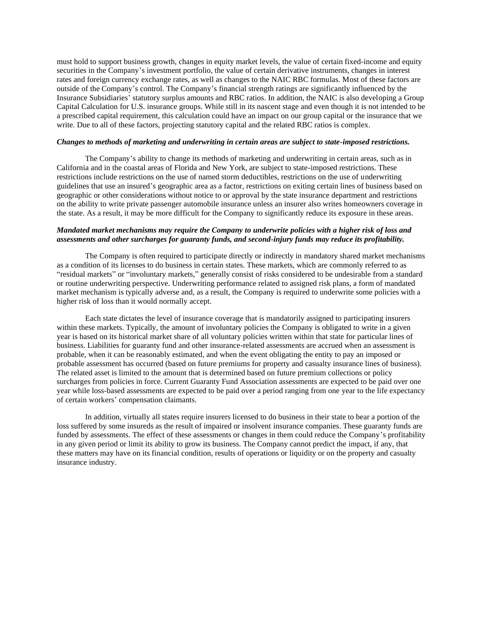must hold to support business growth, changes in equity market levels, the value of certain fixed-income and equity securities in the Company's investment portfolio, the value of certain derivative instruments, changes in interest rates and foreign currency exchange rates, as well as changes to the NAIC RBC formulas. Most of these factors are outside of the Company's control. The Company's financial strength ratings are significantly influenced by the Insurance Subsidiaries' statutory surplus amounts and RBC ratios. In addition, the NAIC is also developing a Group Capital Calculation for U.S. insurance groups. While still in its nascent stage and even though it is not intended to be a prescribed capital requirement, this calculation could have an impact on our group capital or the insurance that we write. Due to all of these factors, projecting statutory capital and the related RBC ratios is complex.

#### *Changes to methods of marketing and underwriting in certain areas are subject to state-imposed restrictions.*

The Company's ability to change its methods of marketing and underwriting in certain areas, such as in California and in the coastal areas of Florida and New York, are subject to state-imposed restrictions. These restrictions include restrictions on the use of named storm deductibles, restrictions on the use of underwriting guidelines that use an insured's geographic area as a factor, restrictions on exiting certain lines of business based on geographic or other considerations without notice to or approval by the state insurance department and restrictions on the ability to write private passenger automobile insurance unless an insurer also writes homeowners coverage in the state. As a result, it may be more difficult for the Company to significantly reduce its exposure in these areas.

# *Mandated market mechanisms may require the Company to underwrite policies with a higher risk of loss and assessments and other surcharges for guaranty funds, and second-injury funds may reduce its profitability.*

The Company is often required to participate directly or indirectly in mandatory shared market mechanisms as a condition of its licenses to do business in certain states. These markets, which are commonly referred to as "residual markets" or "involuntary markets," generally consist of risks considered to be undesirable from a standard or routine underwriting perspective. Underwriting performance related to assigned risk plans, a form of mandated market mechanism is typically adverse and, as a result, the Company is required to underwrite some policies with a higher risk of loss than it would normally accept.

Each state dictates the level of insurance coverage that is mandatorily assigned to participating insurers within these markets. Typically, the amount of involuntary policies the Company is obligated to write in a given year is based on its historical market share of all voluntary policies written within that state for particular lines of business. Liabilities for guaranty fund and other insurance-related assessments are accrued when an assessment is probable, when it can be reasonably estimated, and when the event obligating the entity to pay an imposed or probable assessment has occurred (based on future premiums for property and casualty insurance lines of business). The related asset is limited to the amount that is determined based on future premium collections or policy surcharges from policies in force. Current Guaranty Fund Association assessments are expected to be paid over one year while loss-based assessments are expected to be paid over a period ranging from one year to the life expectancy of certain workers' compensation claimants.

In addition, virtually all states require insurers licensed to do business in their state to bear a portion of the loss suffered by some insureds as the result of impaired or insolvent insurance companies. These guaranty funds are funded by assessments. The effect of these assessments or changes in them could reduce the Company's profitability in any given period or limit its ability to grow its business. The Company cannot predict the impact, if any, that these matters may have on its financial condition, results of operations or liquidity or on the property and casualty insurance industry.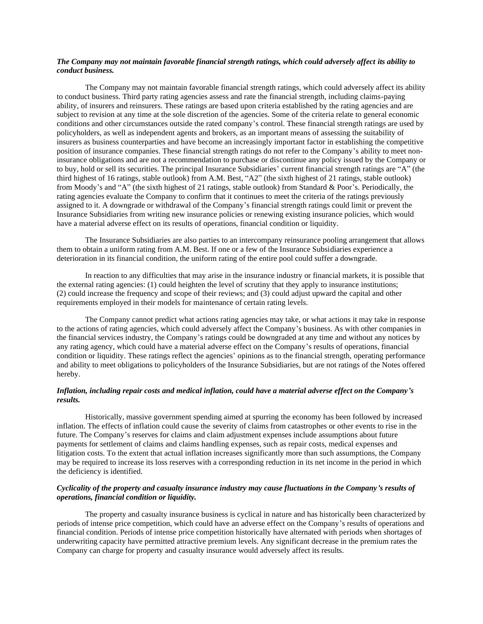# *The Company may not maintain favorable financial strength ratings, which could adversely affect its ability to conduct business.*

The Company may not maintain favorable financial strength ratings, which could adversely affect its ability to conduct business. Third party rating agencies assess and rate the financial strength, including claims-paying ability, of insurers and reinsurers. These ratings are based upon criteria established by the rating agencies and are subject to revision at any time at the sole discretion of the agencies. Some of the criteria relate to general economic conditions and other circumstances outside the rated company's control. These financial strength ratings are used by policyholders, as well as independent agents and brokers, as an important means of assessing the suitability of insurers as business counterparties and have become an increasingly important factor in establishing the competitive position of insurance companies. These financial strength ratings do not refer to the Company's ability to meet noninsurance obligations and are not a recommendation to purchase or discontinue any policy issued by the Company or to buy, hold or sell its securities. The principal Insurance Subsidiaries' current financial strength ratings are "A" (the third highest of 16 ratings, stable outlook) from A.M. Best, "A2" (the sixth highest of 21 ratings, stable outlook) from Moody's and "A" (the sixth highest of 21 ratings, stable outlook) from Standard & Poor's. Periodically, the rating agencies evaluate the Company to confirm that it continues to meet the criteria of the ratings previously assigned to it. A downgrade or withdrawal of the Company's financial strength ratings could limit or prevent the Insurance Subsidiaries from writing new insurance policies or renewing existing insurance policies, which would have a material adverse effect on its results of operations, financial condition or liquidity.

The Insurance Subsidiaries are also parties to an intercompany reinsurance pooling arrangement that allows them to obtain a uniform rating from A.M. Best. If one or a few of the Insurance Subsidiaries experience a deterioration in its financial condition, the uniform rating of the entire pool could suffer a downgrade.

In reaction to any difficulties that may arise in the insurance industry or financial markets, it is possible that the external rating agencies: (1) could heighten the level of scrutiny that they apply to insurance institutions; (2) could increase the frequency and scope of their reviews; and (3) could adjust upward the capital and other requirements employed in their models for maintenance of certain rating levels.

The Company cannot predict what actions rating agencies may take, or what actions it may take in response to the actions of rating agencies, which could adversely affect the Company's business. As with other companies in the financial services industry, the Company's ratings could be downgraded at any time and without any notices by any rating agency, which could have a material adverse effect on the Company's results of operations, financial condition or liquidity. These ratings reflect the agencies' opinions as to the financial strength, operating performance and ability to meet obligations to policyholders of the Insurance Subsidiaries, but are not ratings of the Notes offered hereby.

# *Inflation, including repair costs and medical inflation, could have a material adverse effect on the Company's results.*

Historically, massive government spending aimed at spurring the economy has been followed by increased inflation. The effects of inflation could cause the severity of claims from catastrophes or other events to rise in the future. The Company's reserves for claims and claim adjustment expenses include assumptions about future payments for settlement of claims and claims handling expenses, such as repair costs, medical expenses and litigation costs. To the extent that actual inflation increases significantly more than such assumptions, the Company may be required to increase its loss reserves with a corresponding reduction in its net income in the period in which the deficiency is identified.

## *Cyclicality of the property and casualty insurance industry may cause fluctuations in the Company's results of operations, financial condition or liquidity.*

The property and casualty insurance business is cyclical in nature and has historically been characterized by periods of intense price competition, which could have an adverse effect on the Company's results of operations and financial condition. Periods of intense price competition historically have alternated with periods when shortages of underwriting capacity have permitted attractive premium levels. Any significant decrease in the premium rates the Company can charge for property and casualty insurance would adversely affect its results.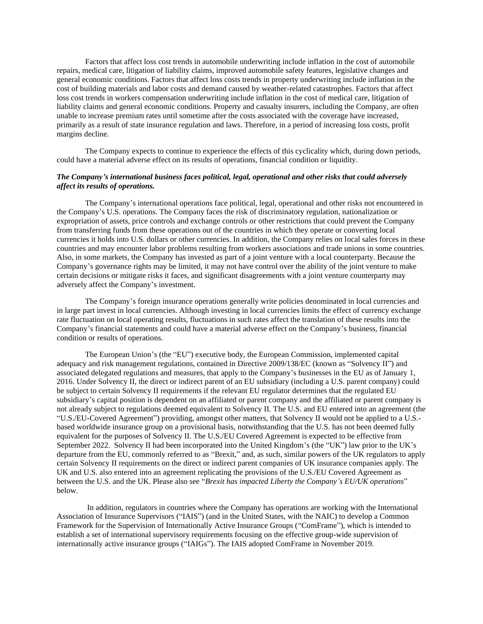Factors that affect loss cost trends in automobile underwriting include inflation in the cost of automobile repairs, medical care, litigation of liability claims, improved automobile safety features, legislative changes and general economic conditions. Factors that affect loss costs trends in property underwriting include inflation in the cost of building materials and labor costs and demand caused by weather-related catastrophes. Factors that affect loss cost trends in workers compensation underwriting include inflation in the cost of medical care, litigation of liability claims and general economic conditions. Property and casualty insurers, including the Company, are often unable to increase premium rates until sometime after the costs associated with the coverage have increased, primarily as a result of state insurance regulation and laws. Therefore, in a period of increasing loss costs, profit margins decline.

The Company expects to continue to experience the effects of this cyclicality which, during down periods, could have a material adverse effect on its results of operations, financial condition or liquidity.

#### *The Company's international business faces political, legal, operational and other risks that could adversely affect its results of operations.*

The Company's international operations face political, legal, operational and other risks not encountered in the Company's U.S. operations. The Company faces the risk of discriminatory regulation, nationalization or expropriation of assets, price controls and exchange controls or other restrictions that could prevent the Company from transferring funds from these operations out of the countries in which they operate or converting local currencies it holds into U.S. dollars or other currencies. In addition, the Company relies on local sales forces in these countries and may encounter labor problems resulting from workers associations and trade unions in some countries. Also, in some markets, the Company has invested as part of a joint venture with a local counterparty. Because the Company's governance rights may be limited, it may not have control over the ability of the joint venture to make certain decisions or mitigate risks it faces, and significant disagreements with a joint venture counterparty may adversely affect the Company's investment.

The Company's foreign insurance operations generally write policies denominated in local currencies and in large part invest in local currencies. Although investing in local currencies limits the effect of currency exchange rate fluctuation on local operating results, fluctuations in such rates affect the translation of these results into the Company's financial statements and could have a material adverse effect on the Company's business, financial condition or results of operations.

The European Union's (the "EU") executive body, the European Commission, implemented capital adequacy and risk management regulations, contained in Directive 2009/138/EC (known as "Solvency II") and associated delegated regulations and measures, that apply to the Company's businesses in the EU as of January 1, 2016. Under Solvency II, the direct or indirect parent of an EU subsidiary (including a U.S. parent company) could be subject to certain Solvency II requirements if the relevant EU regulator determines that the regulated EU subsidiary's capital position is dependent on an affiliated or parent company and the affiliated or parent company is not already subject to regulations deemed equivalent to Solvency II. The U.S. and EU entered into an agreement (the "U.S./EU-Covered Agreement") providing, amongst other matters, that Solvency II would not be applied to a U.S. based worldwide insurance group on a provisional basis, notwithstanding that the U.S. has not been deemed fully equivalent for the purposes of Solvency II. The U.S./EU Covered Agreement is expected to be effective from September 2022. Solvency II had been incorporated into the United Kingdom's (the "UK") law prior to the UK's departure from the EU, commonly referred to as "Brexit," and, as such, similar powers of the UK regulators to apply certain Solvency II requirements on the direct or indirect parent companies of UK insurance companies apply. The UK and U.S. also entered into an agreement replicating the provisions of the U.S./EU Covered Agreement as between the U.S. and the UK. Please also see "*Brexit has impacted Liberty the Company's EU/UK operations*" below.

In addition, regulators in countries where the Company has operations are working with the International Association of Insurance Supervisors ("IAIS") (and in the United States, with the NAIC) to develop a Common Framework for the Supervision of Internationally Active Insurance Groups ("ComFrame"), which is intended to establish a set of international supervisory requirements focusing on the effective group-wide supervision of internationally active insurance groups ("IAIGs"). The IAIS adopted ComFrame in November 2019.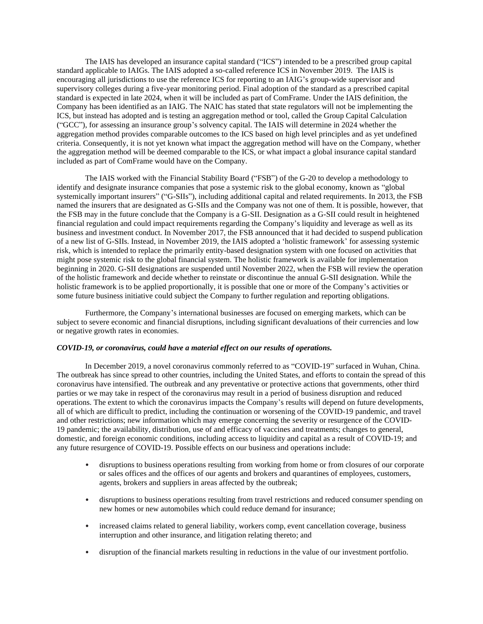The IAIS has developed an insurance capital standard ("ICS") intended to be a prescribed group capital standard applicable to IAIGs. The IAIS adopted a so-called reference ICS in November 2019. The IAIS is encouraging all jurisdictions to use the reference ICS for reporting to an IAIG's group-wide supervisor and supervisory colleges during a five-year monitoring period. Final adoption of the standard as a prescribed capital standard is expected in late 2024, when it will be included as part of ComFrame. Under the IAIS definition, the Company has been identified as an IAIG. The NAIC has stated that state regulators will not be implementing the ICS, but instead has adopted and is testing an aggregation method or tool, called the Group Capital Calculation ("GCC"), for assessing an insurance group's solvency capital. The IAIS will determine in 2024 whether the aggregation method provides comparable outcomes to the ICS based on high level principles and as yet undefined criteria. Consequently, it is not yet known what impact the aggregation method will have on the Company, whether the aggregation method will be deemed comparable to the ICS, or what impact a global insurance capital standard included as part of ComFrame would have on the Company.

The IAIS worked with the Financial Stability Board ("FSB") of the G-20 to develop a methodology to identify and designate insurance companies that pose a systemic risk to the global economy, known as "global systemically important insurers" ("G-SIIs"), including additional capital and related requirements. In 2013, the FSB named the insurers that are designated as G-SIIs and the Company was not one of them. It is possible, however, that the FSB may in the future conclude that the Company is a G-SII. Designation as a G-SII could result in heightened financial regulation and could impact requirements regarding the Company's liquidity and leverage as well as its business and investment conduct. In November 2017, the FSB announced that it had decided to suspend publication of a new list of G-SIIs. Instead, in November 2019, the IAIS adopted a 'holistic framework' for assessing systemic risk, which is intended to replace the primarily entity-based designation system with one focused on activities that might pose systemic risk to the global financial system. The holistic framework is available for implementation beginning in 2020. G-SII designations are suspended until November 2022, when the FSB will review the operation of the holistic framework and decide whether to reinstate or discontinue the annual G-SII designation. While the holistic framework is to be applied proportionally, it is possible that one or more of the Company's activities or some future business initiative could subject the Company to further regulation and reporting obligations.

Furthermore, the Company's international businesses are focused on emerging markets, which can be subject to severe economic and financial disruptions, including significant devaluations of their currencies and low or negative growth rates in economies.

#### *COVID-19, or coronavirus, could have a material effect on our results of operations.*

In December 2019, a novel coronavirus commonly referred to as "COVID-19" surfaced in Wuhan, China. The outbreak has since spread to other countries, including the United States, and efforts to contain the spread of this coronavirus have intensified. The outbreak and any preventative or protective actions that governments, other third parties or we may take in respect of the coronavirus may result in a period of business disruption and reduced operations. The extent to which the coronavirus impacts the Company's results will depend on future developments, all of which are difficult to predict, including the continuation or worsening of the COVID-19 pandemic, and travel and other restrictions; new information which may emerge concerning the severity or resurgence of the COVID-19 pandemic; the availability, distribution, use of and efficacy of vaccines and treatments; changes to general, domestic, and foreign economic conditions, including access to liquidity and capital as a result of COVID-19; and any future resurgence of COVID-19. Possible effects on our business and operations include:

- disruptions to business operations resulting from working from home or from closures of our corporate or sales offices and the offices of our agents and brokers and quarantines of employees, customers, agents, brokers and suppliers in areas affected by the outbreak;
- disruptions to business operations resulting from travel restrictions and reduced consumer spending on new homes or new automobiles which could reduce demand for insurance;
- increased claims related to general liability, workers comp, event cancellation coverage, business interruption and other insurance, and litigation relating thereto; and
- disruption of the financial markets resulting in reductions in the value of our investment portfolio.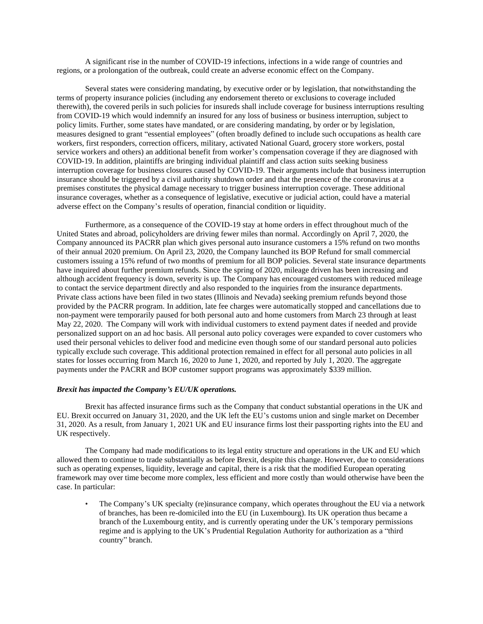A significant rise in the number of COVID-19 infections, infections in a wide range of countries and regions, or a prolongation of the outbreak, could create an adverse economic effect on the Company.

Several states were considering mandating, by executive order or by legislation, that notwithstanding the terms of property insurance policies (including any endorsement thereto or exclusions to coverage included therewith), the covered perils in such policies for insureds shall include coverage for business interruptions resulting from COVID-19 which would indemnify an insured for any loss of business or business interruption, subject to policy limits. Further, some states have mandated, or are considering mandating, by order or by legislation, measures designed to grant "essential employees" (often broadly defined to include such occupations as health care workers, first responders, correction officers, military, activated National Guard, grocery store workers, postal service workers and others) an additional benefit from worker's compensation coverage if they are diagnosed with COVID-19. In addition, plaintiffs are bringing individual plaintiff and class action suits seeking business interruption coverage for business closures caused by COVID-19. Their arguments include that business interruption insurance should be triggered by a civil authority shutdown order and that the presence of the coronavirus at a premises constitutes the physical damage necessary to trigger business interruption coverage. These additional insurance coverages, whether as a consequence of legislative, executive or judicial action, could have a material adverse effect on the Company's results of operation, financial condition or liquidity.

Furthermore, as a consequence of the COVID-19 stay at home orders in effect throughout much of the United States and abroad, policyholders are driving fewer miles than normal. Accordingly on April 7, 2020, the Company announced its PACRR plan which gives personal auto insurance customers a 15% refund on two months of their annual 2020 premium. On April 23, 2020, the Company launched its BOP Refund for small commercial customers issuing a 15% refund of two months of premium for all BOP policies. Several state insurance departments have inquired about further premium refunds. Since the spring of 2020, mileage driven has been increasing and although accident frequency is down, severity is up. The Company has encouraged customers with reduced mileage to contact the service department directly and also responded to the inquiries from the insurance departments. Private class actions have been filed in two states (Illinois and Nevada) seeking premium refunds beyond those provided by the PACRR program. In addition, late fee charges were automatically stopped and cancellations due to non-payment were temporarily paused for both personal auto and home customers from March 23 through at least May 22, 2020. The Company will work with individual customers to extend payment dates if needed and provide personalized support on an ad hoc basis. All personal auto policy coverages were expanded to cover customers who used their personal vehicles to deliver food and medicine even though some of our standard personal auto policies typically exclude such coverage. This additional protection remained in effect for all personal auto policies in all states for losses occurring from March 16, 2020 to June 1, 2020, and reported by July 1, 2020. The aggregate payments under the PACRR and BOP customer support programs was approximately \$339 million.

#### *Brexit has impacted the Company's EU/UK operations.*

Brexit has affected insurance firms such as the Company that conduct substantial operations in the UK and EU. Brexit occurred on January 31, 2020, and the UK left the EU's customs union and single market on December 31, 2020. As a result, from January 1, 2021 UK and EU insurance firms lost their passporting rights into the EU and UK respectively.

The Company had made modifications to its legal entity structure and operations in the UK and EU which allowed them to continue to trade substantially as before Brexit, despite this change. However, due to considerations such as operating expenses, liquidity, leverage and capital, there is a risk that the modified European operating framework may over time become more complex, less efficient and more costly than would otherwise have been the case. In particular:

• The Company's UK specialty (re)insurance company, which operates throughout the EU via a network of branches, has been re-domiciled into the EU (in Luxembourg). Its UK operation thus became a branch of the Luxembourg entity, and is currently operating under the UK's temporary permissions regime and is applying to the UK's Prudential Regulation Authority for authorization as a "third country" branch.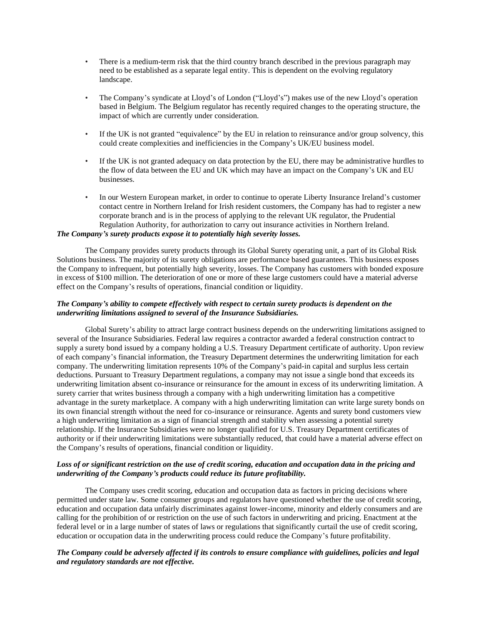- There is a medium-term risk that the third country branch described in the previous paragraph may need to be established as a separate legal entity. This is dependent on the evolving regulatory landscape.
- The Company's syndicate at Lloyd's of London ("Lloyd's") makes use of the new Lloyd's operation based in Belgium. The Belgium regulator has recently required changes to the operating structure, the impact of which are currently under consideration.
- If the UK is not granted "equivalence" by the EU in relation to reinsurance and/or group solvency, this could create complexities and inefficiencies in the Company's UK/EU business model.
- If the UK is not granted adequacy on data protection by the EU, there may be administrative hurdles to the flow of data between the EU and UK which may have an impact on the Company's UK and EU businesses.
- In our Western European market, in order to continue to operate Liberty Insurance Ireland's customer contact centre in Northern Ireland for Irish resident customers, the Company has had to register a new corporate branch and is in the process of applying to the relevant UK regulator, the Prudential Regulation Authority, for authorization to carry out insurance activities in Northern Ireland.

# *The Company's surety products expose it to potentially high severity losses.*

The Company provides surety products through its Global Surety operating unit, a part of its Global Risk Solutions business. The majority of its surety obligations are performance based guarantees. This business exposes the Company to infrequent, but potentially high severity, losses. The Company has customers with bonded exposure in excess of \$100 million. The deterioration of one or more of these large customers could have a material adverse effect on the Company's results of operations, financial condition or liquidity.

# *The Company's ability to compete effectively with respect to certain surety products is dependent on the underwriting limitations assigned to several of the Insurance Subsidiaries.*

Global Surety's ability to attract large contract business depends on the underwriting limitations assigned to several of the Insurance Subsidiaries. Federal law requires a contractor awarded a federal construction contract to supply a surety bond issued by a company holding a U.S. Treasury Department certificate of authority. Upon review of each company's financial information, the Treasury Department determines the underwriting limitation for each company. The underwriting limitation represents 10% of the Company's paid-in capital and surplus less certain deductions. Pursuant to Treasury Department regulations, a company may not issue a single bond that exceeds its underwriting limitation absent co-insurance or reinsurance for the amount in excess of its underwriting limitation. A surety carrier that writes business through a company with a high underwriting limitation has a competitive advantage in the surety marketplace. A company with a high underwriting limitation can write large surety bonds on its own financial strength without the need for co-insurance or reinsurance. Agents and surety bond customers view a high underwriting limitation as a sign of financial strength and stability when assessing a potential surety relationship. If the Insurance Subsidiaries were no longer qualified for U.S. Treasury Department certificates of authority or if their underwriting limitations were substantially reduced, that could have a material adverse effect on the Company's results of operations, financial condition or liquidity.

# *Loss of or significant restriction on the use of credit scoring, education and occupation data in the pricing and underwriting of the Company's products could reduce its future profitability.*

The Company uses credit scoring, education and occupation data as factors in pricing decisions where permitted under state law. Some consumer groups and regulators have questioned whether the use of credit scoring, education and occupation data unfairly discriminates against lower-income, minority and elderly consumers and are calling for the prohibition of or restriction on the use of such factors in underwriting and pricing. Enactment at the federal level or in a large number of states of laws or regulations that significantly curtail the use of credit scoring, education or occupation data in the underwriting process could reduce the Company's future profitability.

## *The Company could be adversely affected if its controls to ensure compliance with guidelines, policies and legal and regulatory standards are not effective.*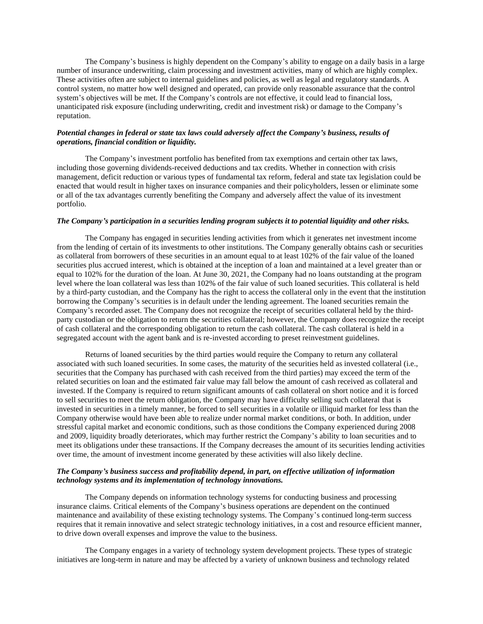The Company's business is highly dependent on the Company's ability to engage on a daily basis in a large number of insurance underwriting, claim processing and investment activities, many of which are highly complex. These activities often are subject to internal guidelines and policies, as well as legal and regulatory standards. A control system, no matter how well designed and operated, can provide only reasonable assurance that the control system's objectives will be met. If the Company's controls are not effective, it could lead to financial loss, unanticipated risk exposure (including underwriting, credit and investment risk) or damage to the Company's reputation.

#### *Potential changes in federal or state tax laws could adversely affect the Company's business, results of operations, financial condition or liquidity.*

The Company's investment portfolio has benefited from tax exemptions and certain other tax laws, including those governing dividends-received deductions and tax credits. Whether in connection with crisis management, deficit reduction or various types of fundamental tax reform, federal and state tax legislation could be enacted that would result in higher taxes on insurance companies and their policyholders, lessen or eliminate some or all of the tax advantages currently benefiting the Company and adversely affect the value of its investment portfolio.

#### *The Company's participation in a securities lending program subjects it to potential liquidity and other risks.*

The Company has engaged in securities lending activities from which it generates net investment income from the lending of certain of its investments to other institutions. The Company generally obtains cash or securities as collateral from borrowers of these securities in an amount equal to at least 102% of the fair value of the loaned securities plus accrued interest, which is obtained at the inception of a loan and maintained at a level greater than or equal to 102% for the duration of the loan. At June 30, 2021, the Company had no loans outstanding at the program level where the loan collateral was less than 102% of the fair value of such loaned securities. This collateral is held by a third-party custodian, and the Company has the right to access the collateral only in the event that the institution borrowing the Company's securities is in default under the lending agreement. The loaned securities remain the Company's recorded asset. The Company does not recognize the receipt of securities collateral held by the thirdparty custodian or the obligation to return the securities collateral; however, the Company does recognize the receipt of cash collateral and the corresponding obligation to return the cash collateral. The cash collateral is held in a segregated account with the agent bank and is re-invested according to preset reinvestment guidelines.

Returns of loaned securities by the third parties would require the Company to return any collateral associated with such loaned securities. In some cases, the maturity of the securities held as invested collateral (i.e., securities that the Company has purchased with cash received from the third parties) may exceed the term of the related securities on loan and the estimated fair value may fall below the amount of cash received as collateral and invested. If the Company is required to return significant amounts of cash collateral on short notice and it is forced to sell securities to meet the return obligation, the Company may have difficulty selling such collateral that is invested in securities in a timely manner, be forced to sell securities in a volatile or illiquid market for less than the Company otherwise would have been able to realize under normal market conditions, or both. In addition, under stressful capital market and economic conditions, such as those conditions the Company experienced during 2008 and 2009, liquidity broadly deteriorates, which may further restrict the Company's ability to loan securities and to meet its obligations under these transactions. If the Company decreases the amount of its securities lending activities over time, the amount of investment income generated by these activities will also likely decline.

#### *The Company's business success and profitability depend, in part, on effective utilization of information technology systems and its implementation of technology innovations.*

The Company depends on information technology systems for conducting business and processing insurance claims. Critical elements of the Company's business operations are dependent on the continued maintenance and availability of these existing technology systems. The Company's continued long-term success requires that it remain innovative and select strategic technology initiatives, in a cost and resource efficient manner, to drive down overall expenses and improve the value to the business.

The Company engages in a variety of technology system development projects. These types of strategic initiatives are long-term in nature and may be affected by a variety of unknown business and technology related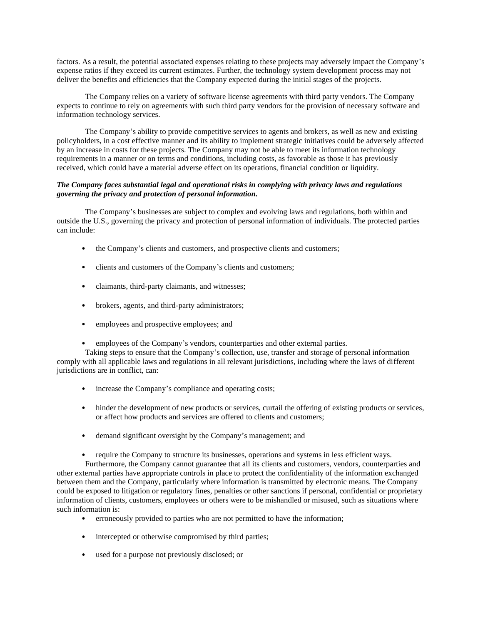factors. As a result, the potential associated expenses relating to these projects may adversely impact the Company's expense ratios if they exceed its current estimates. Further, the technology system development process may not deliver the benefits and efficiencies that the Company expected during the initial stages of the projects.

The Company relies on a variety of software license agreements with third party vendors. The Company expects to continue to rely on agreements with such third party vendors for the provision of necessary software and information technology services.

The Company's ability to provide competitive services to agents and brokers, as well as new and existing policyholders, in a cost effective manner and its ability to implement strategic initiatives could be adversely affected by an increase in costs for these projects. The Company may not be able to meet its information technology requirements in a manner or on terms and conditions, including costs, as favorable as those it has previously received, which could have a material adverse effect on its operations, financial condition or liquidity.

## *The Company faces substantial legal and operational risks in complying with privacy laws and regulations governing the privacy and protection of personal information.*

The Company's businesses are subject to complex and evolving laws and regulations, both within and outside the U.S., governing the privacy and protection of personal information of individuals. The protected parties can include:

- the Company's clients and customers, and prospective clients and customers;
- clients and customers of the Company's clients and customers;
- claimants, third-party claimants, and witnesses;
- brokers, agents, and third-party administrators;
- employees and prospective employees; and
- employees of the Company's vendors, counterparties and other external parties.

Taking steps to ensure that the Company's collection, use, transfer and storage of personal information comply with all applicable laws and regulations in all relevant jurisdictions, including where the laws of different jurisdictions are in conflict, can:

- increase the Company's compliance and operating costs;
- hinder the development of new products or services, curtail the offering of existing products or services, or affect how products and services are offered to clients and customers;
- demand significant oversight by the Company's management; and
- require the Company to structure its businesses, operations and systems in less efficient ways.

Furthermore, the Company cannot guarantee that all its clients and customers, vendors, counterparties and other external parties have appropriate controls in place to protect the confidentiality of the information exchanged between them and the Company, particularly where information is transmitted by electronic means. The Company could be exposed to litigation or regulatory fines, penalties or other sanctions if personal, confidential or proprietary information of clients, customers, employees or others were to be mishandled or misused, such as situations where such information is:

- erroneously provided to parties who are not permitted to have the information;
- intercepted or otherwise compromised by third parties;
- used for a purpose not previously disclosed; or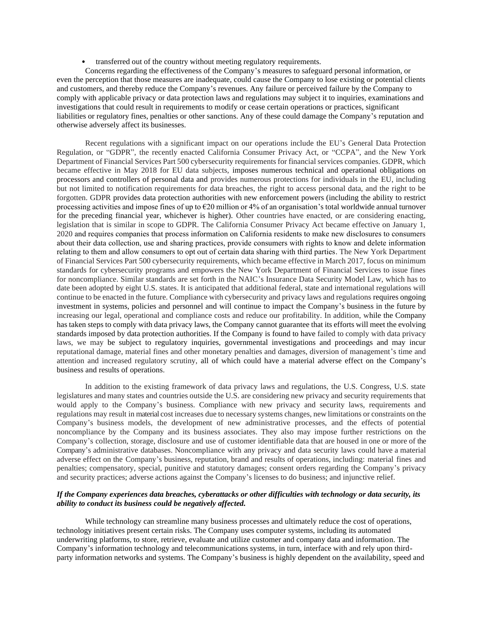• transferred out of the country without meeting regulatory requirements.

Concerns regarding the effectiveness of the Company's measures to safeguard personal information, or even the perception that those measures are inadequate, could cause the Company to lose existing or potential clients and customers, and thereby reduce the Company's revenues. Any failure or perceived failure by the Company to comply with applicable privacy or data protection laws and regulations may subject it to inquiries, examinations and investigations that could result in requirements to modify or cease certain operations or practices, significant liabilities or regulatory fines, penalties or other sanctions. Any of these could damage the Company's reputation and otherwise adversely affect its businesses.

Recent regulations with a significant impact on our operations include the EU's General Data Protection Regulation, or "GDPR", the recently enacted California Consumer Privacy Act, or "CCPA", and the New York Department of Financial Services Part 500 cybersecurity requirements for financial services companies. GDPR, which became effective in May 2018 for EU data subjects, imposes numerous technical and operational obligations on processors and controllers of personal data and provides numerous protections for individuals in the EU, including but not limited to notification requirements for data breaches, the right to access personal data, and the right to be forgotten. GDPR provides data protection authorities with new enforcement powers (including the ability to restrict processing activities and impose fines of up to €20 million or 4% of an organisation's total worldwide annual turnover for the preceding financial year, whichever is higher). Other countries have enacted, or are considering enacting, legislation that is similar in scope to GDPR. The California Consumer Privacy Act became effective on January 1, 2020 and requires companies that process information on California residents to make new disclosures to consumers about their data collection, use and sharing practices, provide consumers with rights to know and delete information relating to them and allow consumers to opt out of certain data sharing with third parties. The New York Department of Financial Services Part 500 cybersecurity requirements, which became effective in March 2017, focus on minimum standards for cybersecurity programs and empowers the New York Department of Financial Services to issue fines for noncompliance. Similar standards are set forth in the NAIC's Insurance Data Security Model Law, which has to date been adopted by eight U.S. states. It is anticipated that additional federal, state and international regulations will continue to be enacted in the future. Compliance with cybersecurity and privacy laws and regulations requires ongoing investment in systems, policies and personnel and will continue to impact the Company's business in the future by increasing our legal, operational and compliance costs and reduce our profitability. In addition, while the Company has taken steps to comply with data privacy laws, the Company cannot guarantee that its efforts will meet the evolving standards imposed by data protection authorities. If the Company is found to have failed to comply with data privacy laws, we may be subject to regulatory inquiries, governmental investigations and proceedings and may incur reputational damage, material fines and other monetary penalties and damages, diversion of management's time and attention and increased regulatory scrutiny, all of which could have a material adverse effect on the Company's business and results of operations.

In addition to the existing framework of data privacy laws and regulations, the U.S. Congress, U.S. state legislatures and many states and countries outside the U.S. are considering new privacy and security requirements that would apply to the Company's business. Compliance with new privacy and security laws, requirements and regulations may result in material cost increases due to necessary systems changes, new limitations or constraints on the Company's business models, the development of new administrative processes, and the effects of potential noncompliance by the Company and its business associates. They also may impose further restrictions on the Company's collection, storage, disclosure and use of customer identifiable data that are housed in one or more of the Company's administrative databases. Noncompliance with any privacy and data security laws could have a material adverse effect on the Company's business, reputation, brand and results of operations, including: material fines and penalties; compensatory, special, punitive and statutory damages; consent orders regarding the Company's privacy and security practices; adverse actions against the Company's licenses to do business; and injunctive relief.

# *If the Company experiences data breaches, cyberattacks or other difficulties with technology or data security, its ability to conduct its business could be negatively affected.*

While technology can streamline many business processes and ultimately reduce the cost of operations, technology initiatives present certain risks. The Company uses computer systems, including its automated underwriting platforms, to store, retrieve, evaluate and utilize customer and company data and information. The Company's information technology and telecommunications systems, in turn, interface with and rely upon thirdparty information networks and systems. The Company's business is highly dependent on the availability, speed and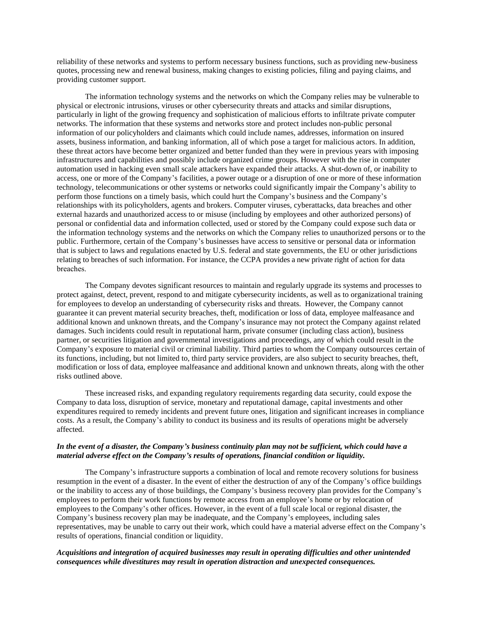reliability of these networks and systems to perform necessary business functions, such as providing new-business quotes, processing new and renewal business, making changes to existing policies, filing and paying claims, and providing customer support.

The information technology systems and the networks on which the Company relies may be vulnerable to physical or electronic intrusions, viruses or other cybersecurity threats and attacks and similar disruptions, particularly in light of the growing frequency and sophistication of malicious efforts to infiltrate private computer networks. The information that these systems and networks store and protect includes non-public personal information of our policyholders and claimants which could include names, addresses, information on insured assets, business information, and banking information, all of which pose a target for malicious actors. In addition, these threat actors have become better organized and better funded than they were in previous years with imposing infrastructures and capabilities and possibly include organized crime groups. However with the rise in computer automation used in hacking even small scale attackers have expanded their attacks. A shut-down of, or inability to access, one or more of the Company's facilities, a power outage or a disruption of one or more of these information technology, telecommunications or other systems or networks could significantly impair the Company's ability to perform those functions on a timely basis, which could hurt the Company's business and the Company's relationships with its policyholders, agents and brokers. Computer viruses, cyberattacks, data breaches and other external hazards and unauthorized access to or misuse (including by employees and other authorized persons) of personal or confidential data and information collected, used or stored by the Company could expose such data or the information technology systems and the networks on which the Company relies to unauthorized persons or to the public. Furthermore, certain of the Company's businesses have access to sensitive or personal data or information that is subject to laws and regulations enacted by U.S. federal and state governments, the EU or other jurisdictions relating to breaches of such information. For instance, the CCPA provides a new private right of action for data breaches.

The Company devotes significant resources to maintain and regularly upgrade its systems and processes to protect against, detect, prevent, respond to and mitigate cybersecurity incidents, as well as to organizational training for employees to develop an understanding of cybersecurity risks and threats. However, the Company cannot guarantee it can prevent material security breaches, theft, modification or loss of data, employee malfeasance and additional known and unknown threats, and the Company's insurance may not protect the Company against related damages. Such incidents could result in reputational harm, private consumer (including class action), business partner, or securities litigation and governmental investigations and proceedings, any of which could result in the Company's exposure to material civil or criminal liability. Third parties to whom the Company outsources certain of its functions, including, but not limited to, third party service providers, are also subject to security breaches, theft, modification or loss of data, employee malfeasance and additional known and unknown threats, along with the other risks outlined above.

These increased risks, and expanding regulatory requirements regarding data security, could expose the Company to data loss, disruption of service, monetary and reputational damage, capital investments and other expenditures required to remedy incidents and prevent future ones, litigation and significant increases in compliance costs. As a result, the Company's ability to conduct its business and its results of operations might be adversely affected.

# *In the event of a disaster, the Company's business continuity plan may not be sufficient, which could have a material adverse effect on the Company's results of operations, financial condition or liquidity.*

The Company's infrastructure supports a combination of local and remote recovery solutions for business resumption in the event of a disaster. In the event of either the destruction of any of the Company's office buildings or the inability to access any of those buildings, the Company's business recovery plan provides for the Company's employees to perform their work functions by remote access from an employee's home or by relocation of employees to the Company's other offices. However, in the event of a full scale local or regional disaster, the Company's business recovery plan may be inadequate, and the Company's employees, including sales representatives, may be unable to carry out their work, which could have a material adverse effect on the Company's results of operations, financial condition or liquidity.

#### *Acquisitions and integration of acquired businesses may result in operating difficulties and other unintended consequences while divestitures may result in operation distraction and unexpected consequences.*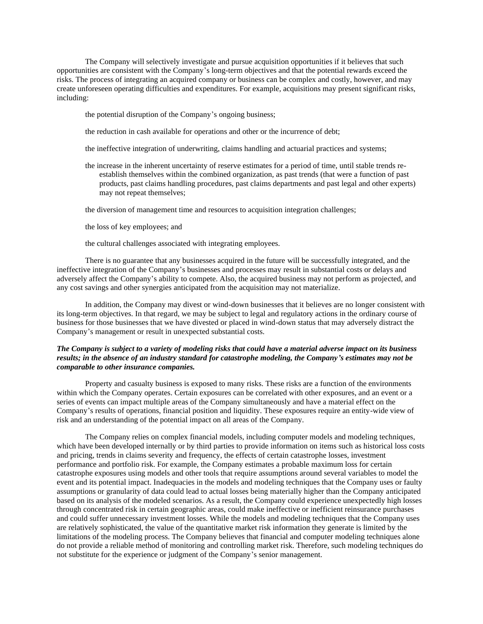The Company will selectively investigate and pursue acquisition opportunities if it believes that such opportunities are consistent with the Company's long-term objectives and that the potential rewards exceed the risks. The process of integrating an acquired company or business can be complex and costly, however, and may create unforeseen operating difficulties and expenditures. For example, acquisitions may present significant risks, including:

the potential disruption of the Company's ongoing business;

the reduction in cash available for operations and other or the incurrence of debt;

the ineffective integration of underwriting, claims handling and actuarial practices and systems;

the increase in the inherent uncertainty of reserve estimates for a period of time, until stable trends reestablish themselves within the combined organization, as past trends (that were a function of past products, past claims handling procedures, past claims departments and past legal and other experts) may not repeat themselves;

the diversion of management time and resources to acquisition integration challenges;

the loss of key employees; and

the cultural challenges associated with integrating employees.

There is no guarantee that any businesses acquired in the future will be successfully integrated, and the ineffective integration of the Company's businesses and processes may result in substantial costs or delays and adversely affect the Company's ability to compete. Also, the acquired business may not perform as projected, and any cost savings and other synergies anticipated from the acquisition may not materialize.

In addition, the Company may divest or wind-down businesses that it believes are no longer consistent with its long-term objectives. In that regard, we may be subject to legal and regulatory actions in the ordinary course of business for those businesses that we have divested or placed in wind-down status that may adversely distract the Company's management or result in unexpected substantial costs.

# *The Company is subject to a variety of modeling risks that could have a material adverse impact on its business results; in the absence of an industry standard for catastrophe modeling, the Company's estimates may not be comparable to other insurance companies.*

Property and casualty business is exposed to many risks. These risks are a function of the environments within which the Company operates. Certain exposures can be correlated with other exposures, and an event or a series of events can impact multiple areas of the Company simultaneously and have a material effect on the Company's results of operations, financial position and liquidity. These exposures require an entity-wide view of risk and an understanding of the potential impact on all areas of the Company.

The Company relies on complex financial models, including computer models and modeling techniques, which have been developed internally or by third parties to provide information on items such as historical loss costs and pricing, trends in claims severity and frequency, the effects of certain catastrophe losses, investment performance and portfolio risk. For example, the Company estimates a probable maximum loss for certain catastrophe exposures using models and other tools that require assumptions around several variables to model the event and its potential impact. Inadequacies in the models and modeling techniques that the Company uses or faulty assumptions or granularity of data could lead to actual losses being materially higher than the Company anticipated based on its analysis of the modeled scenarios. As a result, the Company could experience unexpectedly high losses through concentrated risk in certain geographic areas, could make ineffective or inefficient reinsurance purchases and could suffer unnecessary investment losses. While the models and modeling techniques that the Company uses are relatively sophisticated, the value of the quantitative market risk information they generate is limited by the limitations of the modeling process. The Company believes that financial and computer modeling techniques alone do not provide a reliable method of monitoring and controlling market risk. Therefore, such modeling techniques do not substitute for the experience or judgment of the Company's senior management.